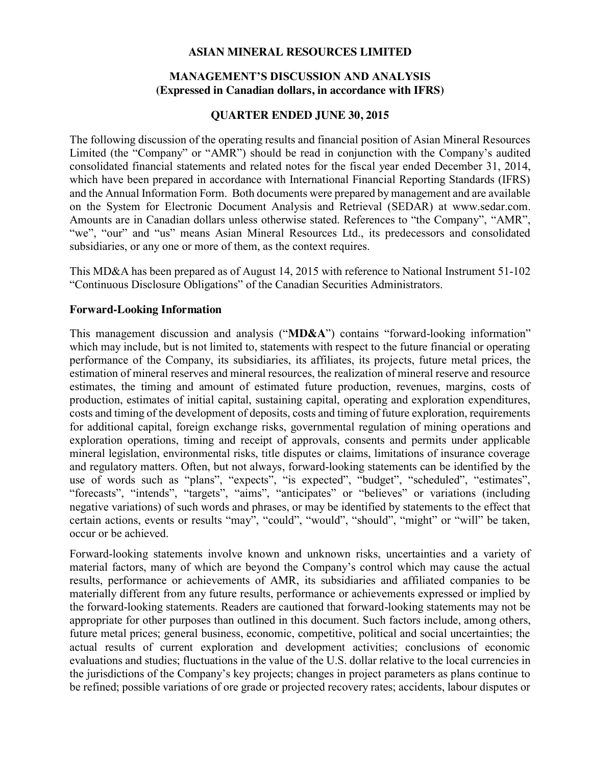#### **ASIAN MINERAL RESOURCES LIMITED**

### **MANAGEMENT'S DISCUSSION AND ANALYSIS (Expressed in Canadian dollars, in accordance with IFRS)**

### **QUARTER ENDED JUNE 30, 2015**

The following discussion of the operating results and financial position of Asian Mineral Resources Limited (the "Company" or "AMR") should be read in conjunction with the Company's audited consolidated financial statements and related notes for the fiscal year ended December 31, 2014, which have been prepared in accordance with International Financial Reporting Standards (IFRS) and the Annual Information Form. Both documents were prepared by management and are available on the System for Electronic Document Analysis and Retrieval (SEDAR) at www.sedar.com. Amounts are in Canadian dollars unless otherwise stated. References to "the Company", "AMR", "we", "our" and "us" means Asian Mineral Resources Ltd., its predecessors and consolidated subsidiaries, or any one or more of them, as the context requires.

This MD&A has been prepared as of August 14, 2015 with reference to National Instrument 51-102 "Continuous Disclosure Obligations" of the Canadian Securities Administrators.

#### **Forward-Looking Information**

This management discussion and analysis ("**MD&A**") contains "forward-looking information" which may include, but is not limited to, statements with respect to the future financial or operating performance of the Company, its subsidiaries, its affiliates, its projects, future metal prices, the estimation of mineral reserves and mineral resources, the realization of mineral reserve and resource estimates, the timing and amount of estimated future production, revenues, margins, costs of production, estimates of initial capital, sustaining capital, operating and exploration expenditures, costs and timing of the development of deposits, costs and timing of future exploration, requirements for additional capital, foreign exchange risks, governmental regulation of mining operations and exploration operations, timing and receipt of approvals, consents and permits under applicable mineral legislation, environmental risks, title disputes or claims, limitations of insurance coverage and regulatory matters. Often, but not always, forward-looking statements can be identified by the use of words such as "plans", "expects", "is expected", "budget", "scheduled", "estimates", "forecasts", "intends", "targets", "aims", "anticipates" or "believes" or variations (including negative variations) of such words and phrases, or may be identified by statements to the effect that certain actions, events or results "may", "could", "would", "should", "might" or "will" be taken, occur or be achieved.

Forward-looking statements involve known and unknown risks, uncertainties and a variety of material factors, many of which are beyond the Company's control which may cause the actual results, performance or achievements of AMR, its subsidiaries and affiliated companies to be materially different from any future results, performance or achievements expressed or implied by the forward-looking statements. Readers are cautioned that forward-looking statements may not be appropriate for other purposes than outlined in this document. Such factors include, among others, future metal prices; general business, economic, competitive, political and social uncertainties; the actual results of current exploration and development activities; conclusions of economic evaluations and studies; fluctuations in the value of the U.S. dollar relative to the local currencies in the jurisdictions of the Company's key projects; changes in project parameters as plans continue to be refined; possible variations of ore grade or projected recovery rates; accidents, labour disputes or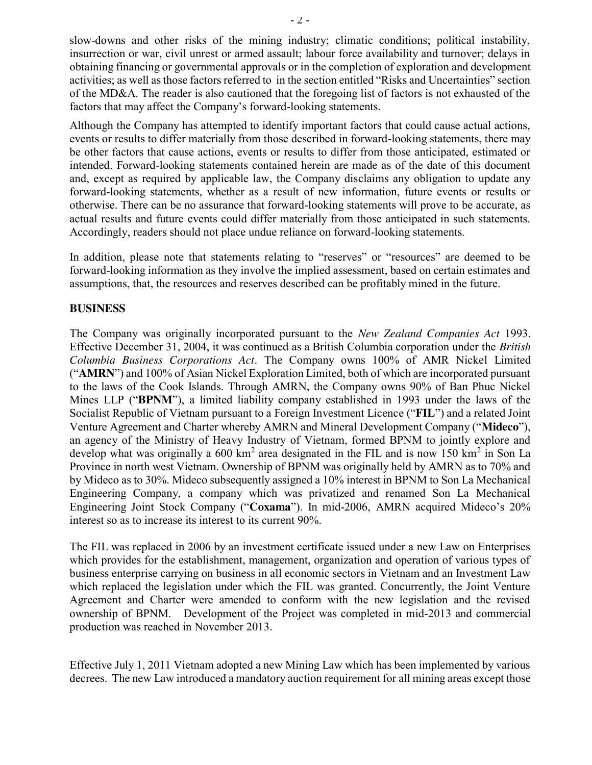slow-downs and other risks of the mining industry; climatic conditions; political instability, insurrection or war, civil unrest or armed assault; labour force availability and turnover; delays in obtaining financing or governmental approvals or in the completion of exploration and development activities; as well as those factors referred to in the section entitled "Risks and Uncertainties" section of the MD&A. The reader is also cautioned that the foregoing list of factors is not exhausted of the factors that may affect the Company's forward-looking statements.

Although the Company has attempted to identify important factors that could cause actual actions, events or results to differ materially from those described in forward-looking statements, there may be other factors that cause actions, events or results to differ from those anticipated, estimated or intended. Forward-looking statements contained herein are made as of the date of this document and, except as required by applicable law, the Company disclaims any obligation to update any forward-looking statements, whether as a result of new information, future events or results or otherwise. There can be no assurance that forward-looking statements will prove to be accurate, as actual results and future events could differ materially from those anticipated in such statements. Accordingly, readers should not place undue reliance on forward-looking statements.

In addition, please note that statements relating to "reserves" or "resources" are deemed to be forward-looking information as they involve the implied assessment, based on certain estimates and assumptions, that, the resources and reserves described can be profitably mined in the future.

#### **BUSINESS**

The Company was originally incorporated pursuant to the *New Zealand Companies Act* 1993. Effective December 31, 2004, it was continued as a British Columbia corporation under the *British Columbia Business Corporations Act*. The Company owns 100% of AMR Nickel Limited ("**AMRN**") and 100% of Asian Nickel Exploration Limited, both of which are incorporated pursuant to the laws of the Cook Islands. Through AMRN, the Company owns 90% of Ban Phuc Nickel Mines LLP ("**BPNM**"), a limited liability company established in 1993 under the laws of the Socialist Republic of Vietnam pursuant to a Foreign Investment Licence ("**FIL**") and a related Joint Venture Agreement and Charter whereby AMRN and Mineral Development Company ("**Mideco**"), an agency of the Ministry of Heavy Industry of Vietnam, formed BPNM to jointly explore and develop what was originally a  $600 \text{ km}^2$  area designated in the FIL and is now 150 km<sup>2</sup> in Son La Province in north west Vietnam. Ownership of BPNM was originally held by AMRN as to 70% and by Mideco as to 30%. Mideco subsequently assigned a 10% interest in BPNM to Son La Mechanical Engineering Company, a company which was privatized and renamed Son La Mechanical Engineering Joint Stock Company ("**Coxama**"). In mid-2006, AMRN acquired Mideco's 20% interest so as to increase its interest to its current 90%.

The FIL was replaced in 2006 by an investment certificate issued under a new Law on Enterprises which provides for the establishment, management, organization and operation of various types of business enterprise carrying on business in all economic sectors in Vietnam and an Investment Law which replaced the legislation under which the FIL was granted. Concurrently, the Joint Venture Agreement and Charter were amended to conform with the new legislation and the revised ownership of BPNM. Development of the Project was completed in mid-2013 and commercial production was reached in November 2013.

Effective July 1, 2011 Vietnam adopted a new Mining Law which has been implemented by various decrees. The new Law introduced a mandatory auction requirement for all mining areas except those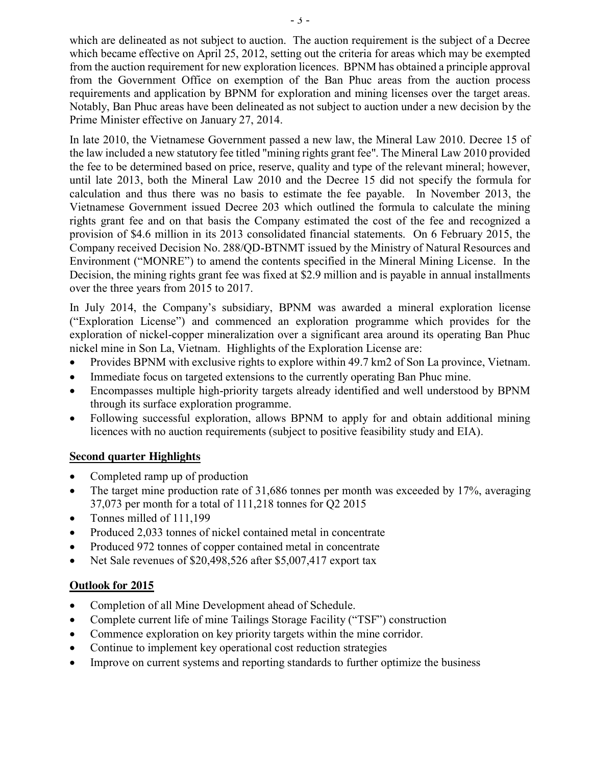which are delineated as not subject to auction. The auction requirement is the subject of a Decree which became effective on April 25, 2012, setting out the criteria for areas which may be exempted from the auction requirement for new exploration licences. BPNM has obtained a principle approval from the Government Office on exemption of the Ban Phuc areas from the auction process requirements and application by BPNM for exploration and mining licenses over the target areas. Notably, Ban Phuc areas have been delineated as not subject to auction under a new decision by the Prime Minister effective on January 27, 2014.

In late 2010, the Vietnamese Government passed a new law, the Mineral Law 2010. Decree 15 of the law included a new statutory fee titled "mining rights grant fee". The Mineral Law 2010 provided the fee to be determined based on price, reserve, quality and type of the relevant mineral; however, until late 2013, both the Mineral Law 2010 and the Decree 15 did not specify the formula for calculation and thus there was no basis to estimate the fee payable. In November 2013, the Vietnamese Government issued Decree 203 which outlined the formula to calculate the mining rights grant fee and on that basis the Company estimated the cost of the fee and recognized a provision of \$4.6 million in its 2013 consolidated financial statements. On 6 February 2015, the Company received Decision No. 288/QD-BTNMT issued by the Ministry of Natural Resources and Environment ("MONRE") to amend the contents specified in the Mineral Mining License. In the Decision, the mining rights grant fee was fixed at \$2.9 million and is payable in annual installments over the three years from 2015 to 2017.

In July 2014, the Company's subsidiary, BPNM was awarded a mineral exploration license ("Exploration License") and commenced an exploration programme which provides for the exploration of nickel-copper mineralization over a significant area around its operating Ban Phuc nickel mine in Son La, Vietnam. Highlights of the Exploration License are:

- Provides BPNM with exclusive rights to explore within 49.7 km2 of Son La province, Vietnam.
- Immediate focus on targeted extensions to the currently operating Ban Phuc mine.
- Encompasses multiple high-priority targets already identified and well understood by BPNM through its surface exploration programme.
- Following successful exploration, allows BPNM to apply for and obtain additional mining licences with no auction requirements (subject to positive feasibility study and EIA).

## **Second quarter Highlights**

- Completed ramp up of production
- The target mine production rate of  $31,686$  tonnes per month was exceeded by 17%, averaging 37,073 per month for a total of 111,218 tonnes for Q2 2015
- $\bullet$  Tonnes milled of 111,199
- Produced 2,033 tonnes of nickel contained metal in concentrate
- Produced 972 tonnes of copper contained metal in concentrate
- Net Sale revenues of  $$20,498,526$  after  $$5,007,417$  export tax

## **Outlook for 2015**

- Completion of all Mine Development ahead of Schedule.
- Complete current life of mine Tailings Storage Facility ("TSF") construction
- Commence exploration on key priority targets within the mine corridor.
- Continue to implement key operational cost reduction strategies
- Improve on current systems and reporting standards to further optimize the business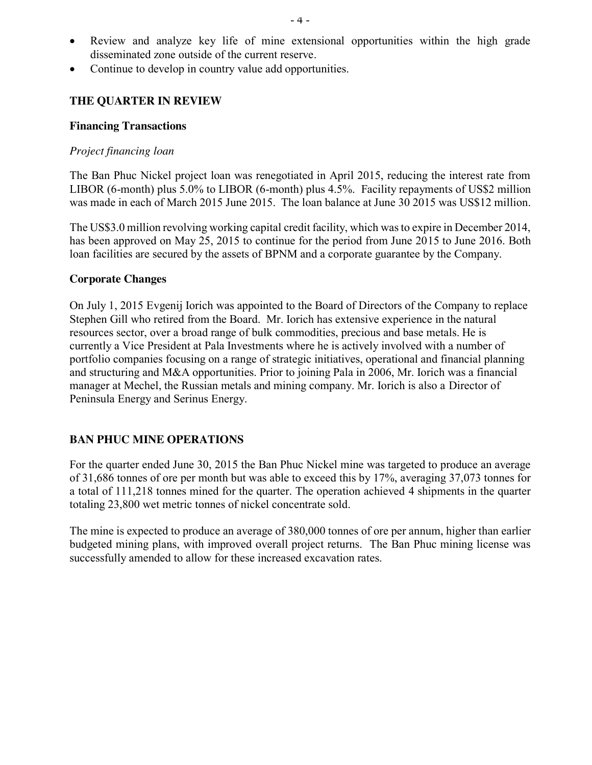- Review and analyze key life of mine extensional opportunities within the high grade disseminated zone outside of the current reserve.
- Continue to develop in country value add opportunities.

## **THE QUARTER IN REVIEW**

#### **Financing Transactions**

### *Project financing loan*

The Ban Phuc Nickel project loan was renegotiated in April 2015, reducing the interest rate from LIBOR (6-month) plus 5.0% to LIBOR (6-month) plus 4.5%. Facility repayments of US\$2 million was made in each of March 2015 June 2015. The loan balance at June 30 2015 was US\$12 million.

The US\$3.0 million revolving working capital credit facility, which was to expire in December 2014, has been approved on May 25, 2015 to continue for the period from June 2015 to June 2016. Both loan facilities are secured by the assets of BPNM and a corporate guarantee by the Company.

### **Corporate Changes**

On July 1, 2015 Evgenij Iorich was appointed to the Board of Directors of the Company to replace Stephen Gill who retired from the Board. Mr. Iorich has extensive experience in the natural resources sector, over a broad range of bulk commodities, precious and base metals. He is currently a Vice President at Pala Investments where he is actively involved with a number of portfolio companies focusing on a range of strategic initiatives, operational and financial planning and structuring and M&A opportunities. Prior to joining Pala in 2006, Mr. Iorich was a financial manager at Mechel, the Russian metals and mining company. Mr. Iorich is also a Director of Peninsula Energy and Serinus Energy.

## **BAN PHUC MINE OPERATIONS**

For the quarter ended June 30, 2015 the Ban Phuc Nickel mine was targeted to produce an average of 31,686 tonnes of ore per month but was able to exceed this by 17%, averaging 37,073 tonnes for a total of 111,218 tonnes mined for the quarter. The operation achieved 4 shipments in the quarter totaling 23,800 wet metric tonnes of nickel concentrate sold.

The mine is expected to produce an average of 380,000 tonnes of ore per annum, higher than earlier budgeted mining plans, with improved overall project returns. The Ban Phuc mining license was successfully amended to allow for these increased excavation rates.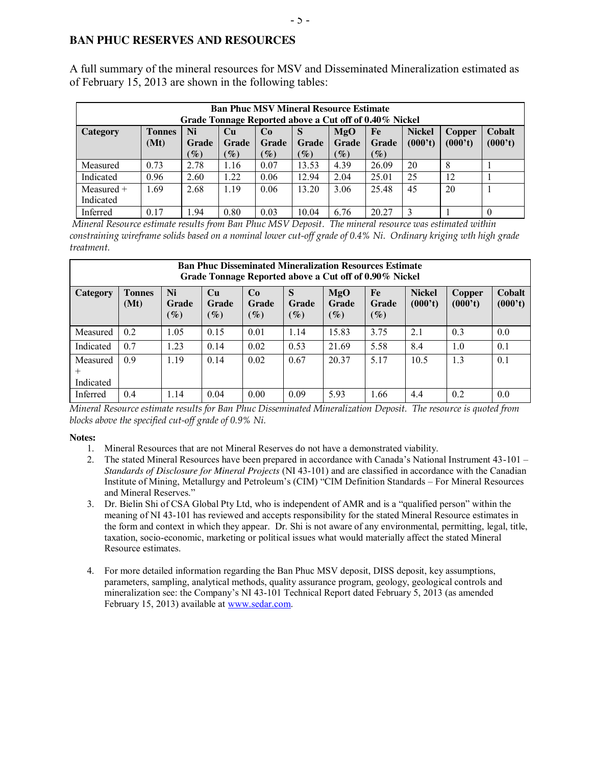# **BAN PHUC RESERVES AND RESOURCES**

|                                                                                          | <b>Ban Phuc MSV Mineral Resource Estimate</b> |                 |                 |                                                        |       |                 |                 |         |         |         |
|------------------------------------------------------------------------------------------|-----------------------------------------------|-----------------|-----------------|--------------------------------------------------------|-------|-----------------|-----------------|---------|---------|---------|
|                                                                                          |                                               |                 |                 | Grade Tonnage Reported above a Cut off of 0.40% Nickel |       |                 |                 |         |         |         |
| Ni<br>MgO<br><b>Nickel</b><br>Tonnes<br>Cu<br>Co<br><b>Category</b><br>Fe<br>Copper<br>S |                                               |                 |                 |                                                        |       |                 | Cobalt          |         |         |         |
|                                                                                          | (Mt)                                          | Grade           | Grade           | Grade                                                  | Grade | Grade           | Grade           | (000't) | (000't) | (000't) |
|                                                                                          |                                               | $\mathscr{G}_o$ | $\mathscr{G}_o$ | $\mathscr{G}_0$                                        | $\%$  | $\mathscr{G}_o$ | $\mathcal{O}_0$ |         |         |         |
| Measured                                                                                 | 0.73                                          | 2.78            | 1.16            | 0.07                                                   | 13.53 | 4.39            | 26.09           | 20      | 8       |         |
| Indicated                                                                                | 0.96                                          | 2.60            | 1.22            | 0.06                                                   | 12.94 | 2.04            | 25.01           | 25      | 12      |         |
| Measured $+$                                                                             | 1.69                                          | 2.68            | 1.19            | 0.06                                                   | 13.20 | 3.06            | 25.48           | 45      | 20      |         |
| Indicated                                                                                |                                               |                 |                 |                                                        |       |                 |                 |         |         |         |
| Inferred                                                                                 | 0.17                                          | 1.94            | 0.80            | 0.03                                                   | 10.04 | 6.76            | 20.27           | 3       |         |         |

A full summary of the mineral resources for MSV and Disseminated Mineralization estimated as of February 15, 2013 are shown in the following tables:

*Mineral Resource estimate results from Ban Phuc MSV Deposit. The mineral resource was estimated within constraining wireframe solids based on a nominal lower cut-off grade of 0.4% Ni. Ordinary kriging wth high grade treatment.*

| <b>Ban Phuc Disseminated Mineralization Resources Estimate</b><br>Grade Tonnage Reported above a Cut off of 0.90% Nickel |                       |                                |                                |                       |                      |                        |                       |                          |                          |                   |
|--------------------------------------------------------------------------------------------------------------------------|-----------------------|--------------------------------|--------------------------------|-----------------------|----------------------|------------------------|-----------------------|--------------------------|--------------------------|-------------------|
| <b>Category</b>                                                                                                          | <b>Tonnes</b><br>(Mt) | Ni<br>Grade<br>$\mathscr{Y}_o$ | Cu<br>Grade<br>$\mathscr{G}_o$ | Co<br>Grade<br>$(\%)$ | S<br>Grade<br>$(\%)$ | MgO<br>Grade<br>$(\%)$ | Fe<br>Grade<br>$(\%)$ | <b>Nickel</b><br>(000't) | <b>Copper</b><br>(000't) | Cobalt<br>(000't) |
| Measured                                                                                                                 | 0.2                   | 1.05                           | 0.15                           | 0.01                  | 1.14                 | 15.83                  | 3.75                  | 2.1                      | 0.3                      | 0.0               |
| Indicated                                                                                                                | 0.7                   | 1.23                           | 0.14                           | 0.02                  | 0.53                 | 21.69                  | 5.58                  | 8.4                      | 1.0                      | 0.1               |
| Measured<br>$^+$<br>Indicated                                                                                            | 0.9                   | 1.19                           | 0.14                           | 0.02                  | 0.67                 | 20.37                  | 5.17                  | 10.5                     | 1.3                      | 0.1               |
| Inferred                                                                                                                 | 0.4                   | 1.14                           | 0.04                           | 0.00                  | 0.09                 | 5.93                   | 1.66                  | 4.4                      | 0.2                      | 0.0               |

*Mineral Resource estimate results for Ban Phuc Disseminated Mineralization Deposit. The resource is quoted from blocks above the specified cut-off grade of 0.9% Ni.*

#### **Notes:**

- 1. Mineral Resources that are not Mineral Reserves do not have a demonstrated viability.
- 2. The stated Mineral Resources have been prepared in accordance with Canada's National Instrument 43-101 *Standards of Disclosure for Mineral Projects* (NI 43-101) and are classified in accordance with the Canadian Institute of Mining, Metallurgy and Petroleum's (CIM) "CIM Definition Standards – For Mineral Resources and Mineral Reserves."
- 3. Dr. Bielin Shi of CSA Global Pty Ltd, who is independent of AMR and is a "qualified person" within the meaning of NI 43-101 has reviewed and accepts responsibility for the stated Mineral Resource estimates in the form and context in which they appear. Dr. Shi is not aware of any environmental, permitting, legal, title, taxation, socio-economic, marketing or political issues what would materially affect the stated Mineral Resource estimates.
- 4. For more detailed information regarding the Ban Phuc MSV deposit, DISS deposit, key assumptions, parameters, sampling, analytical methods, quality assurance program, geology, geological controls and mineralization see: the Company's NI 43-101 Technical Report dated February 5, 2013 (as amended February 15, 2013) available at [www.sedar.com.](http://www.sedar.com/)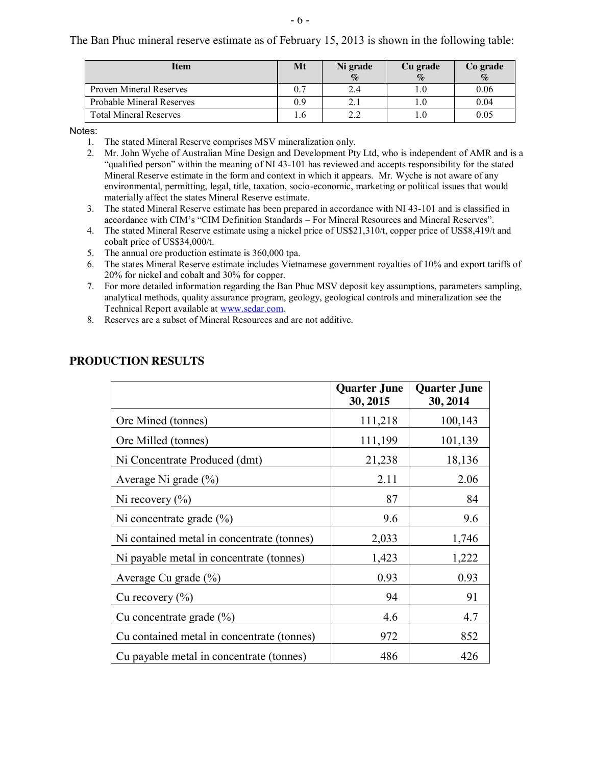The Ban Phuc mineral reserve estimate as of February 15, 2013 is shown in the following table:

| <b>Item</b>                    | Mt      | Ni grade<br>$\mathcal{O}_{\mathcal{O}}$ | Cu grade<br>$\mathcal{O}_0$ | Co grade<br>$\%$ |
|--------------------------------|---------|-----------------------------------------|-----------------------------|------------------|
| <b>Proven Mineral Reserves</b> | 0.7     |                                         | l .O                        | 0.06             |
| Probable Mineral Reserves      | 0 O     |                                         |                             | 0.04             |
| <b>Total Mineral Reserves</b>  | $\cdot$ |                                         | L C                         | 0.05             |

Notes:

- 1. The stated Mineral Reserve comprises MSV mineralization only.
- 2. Mr. John Wyche of Australian Mine Design and Development Pty Ltd, who is independent of AMR and is a "qualified person" within the meaning of NI 43-101 has reviewed and accepts responsibility for the stated Mineral Reserve estimate in the form and context in which it appears. Mr. Wyche is not aware of any environmental, permitting, legal, title, taxation, socio-economic, marketing or political issues that would materially affect the states Mineral Reserve estimate.
- 3. The stated Mineral Reserve estimate has been prepared in accordance with NI 43-101 and is classified in accordance with CIM's "CIM Definition Standards – For Mineral Resources and Mineral Reserves".
- 4. The stated Mineral Reserve estimate using a nickel price of US\$21,310/t, copper price of US\$8,419/t and cobalt price of US\$34,000/t.
- 5. The annual ore production estimate is 360,000 tpa.
- 6. The states Mineral Reserve estimate includes Vietnamese government royalties of 10% and export tariffs of 20% for nickel and cobalt and 30% for copper.
- 7. For more detailed information regarding the Ban Phuc MSV deposit key assumptions, parameters sampling, analytical methods, quality assurance program, geology, geological controls and mineralization see the Technical Report available at [www.sedar.com.](http://www.sedar.com/)
- 8. Reserves are a subset of Mineral Resources and are not additive.

|                                            | <b>Quarter June</b><br>30, 2015 | <b>Quarter June</b><br>30, 2014 |
|--------------------------------------------|---------------------------------|---------------------------------|
| Ore Mined (tonnes)                         | 111,218                         | 100,143                         |
| Ore Milled (tonnes)                        | 111,199                         | 101,139                         |
| Ni Concentrate Produced (dmt)              | 21,238                          | 18,136                          |
| Average Ni grade (%)                       | 2.11                            | 2.06                            |
| Ni recovery $\left(\frac{0}{0}\right)$     | 87                              | 84                              |
| Ni concentrate grade $(\% )$               | 9.6                             | 9.6                             |
| Ni contained metal in concentrate (tonnes) | 2,033                           | 1,746                           |
| Ni payable metal in concentrate (tonnes)   | 1,423                           | 1,222                           |
| Average Cu grade (%)                       | 0.93                            | 0.93                            |
| Cu recovery $(\% )$                        | 94                              | 91                              |
| Cu concentrate grade $(\% )$               | 4.6                             | 4.7                             |
| Cu contained metal in concentrate (tonnes) | 972                             | 852                             |
| Cu payable metal in concentrate (tonnes)   | 486                             | 426                             |

#### **PRODUCTION RESULTS**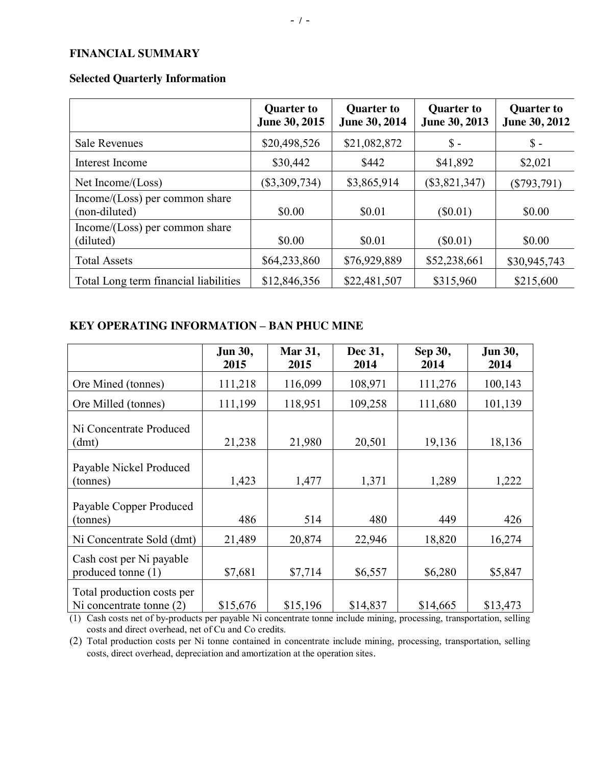#### **FINANCIAL SUMMARY**

# **Selected Quarterly Information**

|                                                 | <b>Quarter to</b><br>June 30, 2015 | <b>Quarter to</b><br>June 30, 2014 | <b>Quarter to</b><br>June 30, 2013 | <b>Quarter to</b><br>June 30, 2012 |
|-------------------------------------------------|------------------------------------|------------------------------------|------------------------------------|------------------------------------|
| <b>Sale Revenues</b>                            | \$20,498,526                       | \$21,082,872                       | $\mathbb{S}$ -                     | $\mathbb{S}$ -                     |
| Interest Income                                 | \$30,442                           | \$442                              | \$41,892                           | \$2,021                            |
| Net Income/(Loss)                               | $(\$3,309,734)$                    | \$3,865,914                        | $(\$3,821,347)$                    | $(\$793,791)$                      |
| Income/(Loss) per common share<br>(non-diluted) | \$0.00                             | \$0.01                             | $(\$0.01)$                         | \$0.00                             |
| $Income/(Loss)$ per common share<br>(diluted)   | \$0.00                             | \$0.01                             | $(\$0.01)$                         | \$0.00                             |
| <b>Total Assets</b>                             | \$64,233,860                       | \$76,929,889                       | \$52,238,661                       | \$30,945,743                       |
| Total Long term financial liabilities           | \$12,846,356                       | \$22,481,507                       | \$315,960                          | \$215,600                          |

## **KEY OPERATING INFORMATION – BAN PHUC MINE**

|                                                          | <b>Jun 30,</b><br>2015 | <b>Mar 31,</b><br>2015 | Dec 31,<br>2014 | Sep 30,<br>2014 | <b>Jun 30,</b><br>2014 |
|----------------------------------------------------------|------------------------|------------------------|-----------------|-----------------|------------------------|
| Ore Mined (tonnes)                                       | 111,218                | 116,099                | 108,971         | 111,276         | 100,143                |
| Ore Milled (tonnes)                                      | 111,199                | 118,951                | 109,258         | 111,680         | 101,139                |
| Ni Concentrate Produced<br>(dmt)                         | 21,238                 | 21,980                 | 20,501          | 19,136          | 18,136                 |
| Payable Nickel Produced<br>(tonnes)                      | 1,423                  | 1,477                  | 1,371           | 1,289           | 1,222                  |
| Payable Copper Produced<br>(tonnes)                      | 486                    | 514                    | 480             | 449             | 426                    |
| Ni Concentrate Sold (dmt)                                | 21,489                 | 20,874                 | 22,946          | 18,820          | 16,274                 |
| Cash cost per Ni payable<br>produced tonne (1)           | \$7,681                | \$7,714                | \$6,557         | \$6,280         | \$5,847                |
| Total production costs per<br>Ni concentrate tonne $(2)$ | \$15,676               | \$15,196               | \$14,837        | \$14,665        | \$13,473               |

(1) Cash costs net of by-products per payable Ni concentrate tonne include mining, processing, transportation, selling costs and direct overhead, net of Cu and Co credits.

(2) Total production costs per Ni tonne contained in concentrate include mining, processing, transportation, selling costs, direct overhead, depreciation and amortization at the operation sites.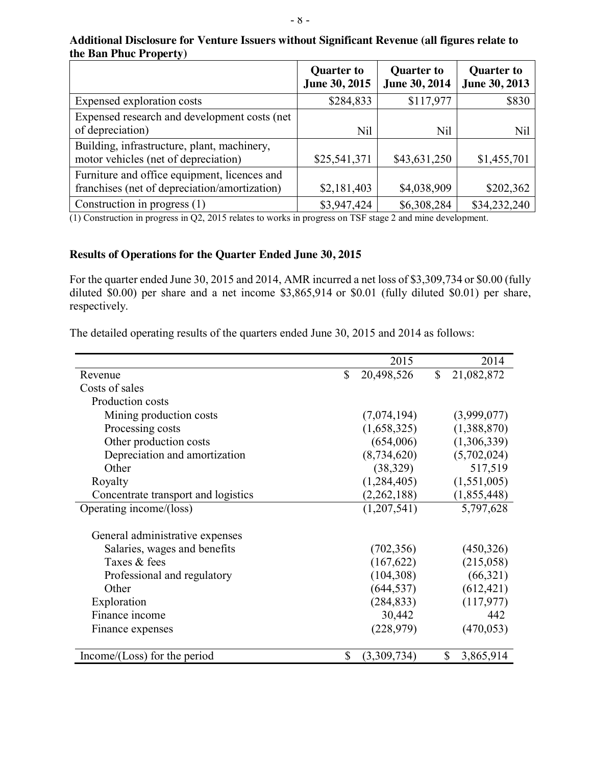| $\frac{1}{2}$                                 |                                    |                                           |                                           |  |  |  |  |  |
|-----------------------------------------------|------------------------------------|-------------------------------------------|-------------------------------------------|--|--|--|--|--|
|                                               | <b>Quarter to</b><br>June 30, 2015 | <b>Quarter to</b><br><b>June 30, 2014</b> | <b>Quarter to</b><br><b>June 30, 2013</b> |  |  |  |  |  |
| Expensed exploration costs                    | \$284,833                          | \$117,977                                 | \$830                                     |  |  |  |  |  |
| Expensed research and development costs (net) |                                    |                                           |                                           |  |  |  |  |  |
| of depreciation)                              | Nil                                | Nil                                       | Nil                                       |  |  |  |  |  |
| Building, infrastructure, plant, machinery,   |                                    |                                           |                                           |  |  |  |  |  |

motor vehicles (net of depreciation)  $$25,541,371$   $$43,631,250$   $$1,455,701$ 

franchises (net of depreciation/amortization)  $\begin{array}{|l} \hline \text{ $}52,181,403 & \text{ $}4,038,909 & \text{ $}202,362 \end{array}$ Construction in progress (1)  $$3,947,424$   $$6,308,284$   $$34,232,240$ 

#### **Additional Disclosure for Venture Issuers without Significant Revenue (all figures relate to the Ban Phuc Property)**

(1) Construction in progress in Q2, 2015 relates to works in progress on TSF stage 2 and mine development.

#### **Results of Operations for the Quarter Ended June 30, 2015**

Furniture and office equipment, licences and

For the quarter ended June 30, 2015 and 2014, AMR incurred a net loss of \$3,309,734 or \$0.00 (fully diluted \$0.00) per share and a net income \$3,865,914 or \$0.01 (fully diluted \$0.01) per share, respectively.

The detailed operating results of the quarters ended June 30, 2015 and 2014 as follows:

|                                     | 2015              | 2014             |
|-------------------------------------|-------------------|------------------|
| Revenue                             | \$<br>20,498,526  | \$<br>21,082,872 |
| Costs of sales                      |                   |                  |
| Production costs                    |                   |                  |
| Mining production costs             | (7,074,194)       | (3,999,077)      |
| Processing costs                    | (1,658,325)       | (1,388,870)      |
| Other production costs              | (654,006)         | (1,306,339)      |
| Depreciation and amortization       | (8, 734, 620)     | (5,702,024)      |
| Other                               | (38, 329)         | 517,519          |
| Royalty                             | (1,284,405)       | (1,551,005)      |
| Concentrate transport and logistics | (2,262,188)       | (1,855,448)      |
| Operating income/(loss)             | (1,207,541)       | 5,797,628        |
| General administrative expenses     |                   |                  |
| Salaries, wages and benefits        | (702, 356)        | (450, 326)       |
| Taxes & fees                        | (167, 622)        | (215,058)        |
| Professional and regulatory         | (104, 308)        | (66,321)         |
| Other                               | (644, 537)        | (612, 421)       |
| Exploration                         | (284, 833)        | (117,977)        |
| Finance income                      | 30,442            | 442              |
| Finance expenses                    | (228, 979)        | (470, 053)       |
|                                     |                   |                  |
| Income/(Loss) for the period        | \$<br>(3,309,734) | \$<br>3,865,914  |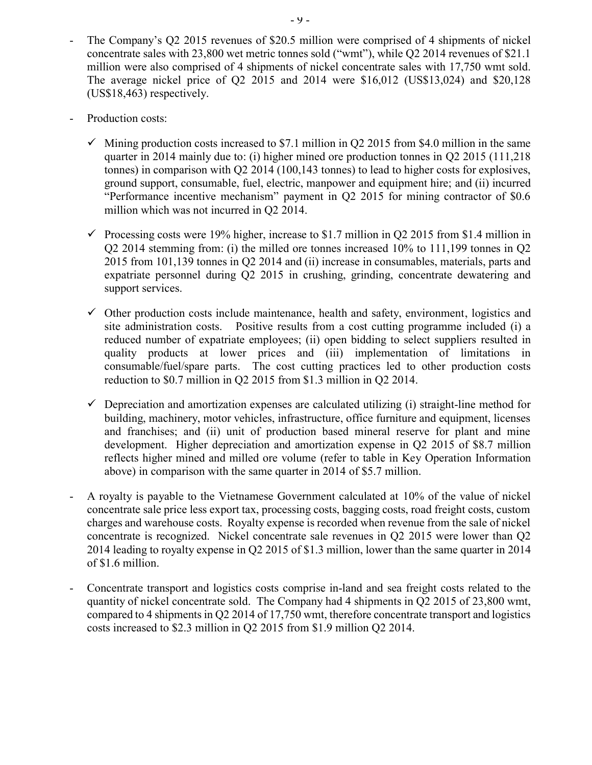- The Company's Q2 2015 revenues of \$20.5 million were comprised of 4 shipments of nickel concentrate sales with 23,800 wet metric tonnes sold ("wmt"), while Q2 2014 revenues of \$21.1 million were also comprised of 4 shipments of nickel concentrate sales with 17,750 wmt sold. The average nickel price of Q2 2015 and 2014 were \$16,012 (US\$13,024) and \$20,128 (US\$18,463) respectively.
- Production costs:
	- $\checkmark$  Mining production costs increased to \$7.1 million in Q2 2015 from \$4.0 million in the same quarter in 2014 mainly due to: (i) higher mined ore production tonnes in Q2 2015 (111,218 tonnes) in comparison with Q2 2014 (100,143 tonnes) to lead to higher costs for explosives, ground support, consumable, fuel, electric, manpower and equipment hire; and (ii) incurred "Performance incentive mechanism" payment in Q2 2015 for mining contractor of \$0.6 million which was not incurred in Q2 2014.
	- Processing costs were 19% higher, increase to \$1.7 million in Q2 2015 from \$1.4 million in Q2 2014 stemming from: (i) the milled ore tonnes increased 10% to 111,199 tonnes in Q2 2015 from 101,139 tonnes in Q2 2014 and (ii) increase in consumables, materials, parts and expatriate personnel during Q2 2015 in crushing, grinding, concentrate dewatering and support services.
	- $\checkmark$  Other production costs include maintenance, health and safety, environment, logistics and site administration costs. Positive results from a cost cutting programme included (i) a reduced number of expatriate employees; (ii) open bidding to select suppliers resulted in quality products at lower prices and (iii) implementation of limitations in consumable/fuel/spare parts. The cost cutting practices led to other production costs reduction to \$0.7 million in Q2 2015 from \$1.3 million in Q2 2014.
	- $\checkmark$  Depreciation and amortization expenses are calculated utilizing (i) straight-line method for building, machinery, motor vehicles, infrastructure, office furniture and equipment, licenses and franchises; and (ii) unit of production based mineral reserve for plant and mine development. Higher depreciation and amortization expense in Q2 2015 of \$8.7 million reflects higher mined and milled ore volume (refer to table in Key Operation Information above) in comparison with the same quarter in 2014 of \$5.7 million.
- A royalty is payable to the Vietnamese Government calculated at 10% of the value of nickel concentrate sale price less export tax, processing costs, bagging costs, road freight costs, custom charges and warehouse costs. Royalty expense is recorded when revenue from the sale of nickel concentrate is recognized. Nickel concentrate sale revenues in Q2 2015 were lower than Q2 2014 leading to royalty expense in Q2 2015 of \$1.3 million, lower than the same quarter in 2014 of \$1.6 million.
- Concentrate transport and logistics costs comprise in-land and sea freight costs related to the quantity of nickel concentrate sold. The Company had 4 shipments in Q2 2015 of 23,800 wmt, compared to 4 shipments in Q2 2014 of 17,750 wmt, therefore concentrate transport and logistics costs increased to \$2.3 million in Q2 2015 from \$1.9 million Q2 2014.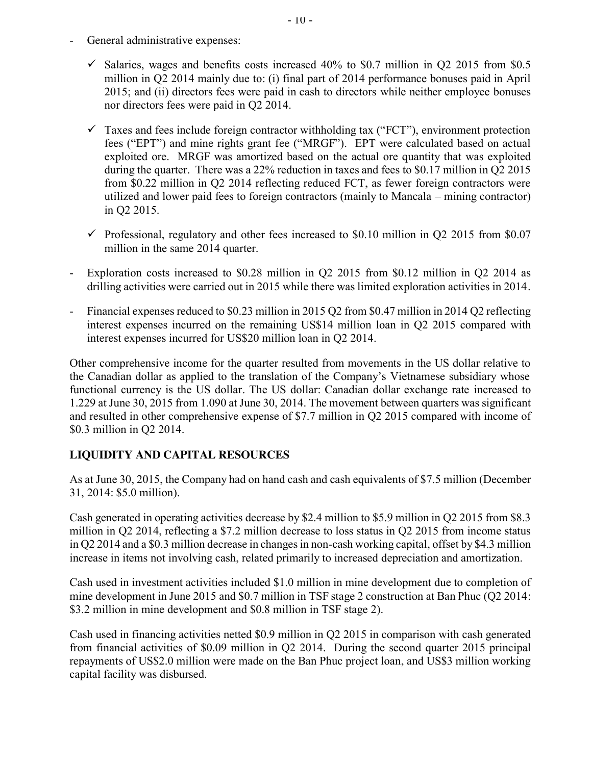- General administrative expenses:
	- $\checkmark$  Salaries, wages and benefits costs increased 40% to \$0.7 million in Q2 2015 from \$0.5 million in Q2 2014 mainly due to: (i) final part of 2014 performance bonuses paid in April 2015; and (ii) directors fees were paid in cash to directors while neither employee bonuses nor directors fees were paid in Q2 2014.
	- $\checkmark$  Taxes and fees include foreign contractor withholding tax ("FCT"), environment protection fees ("EPT") and mine rights grant fee ("MRGF"). EPT were calculated based on actual exploited ore. MRGF was amortized based on the actual ore quantity that was exploited during the quarter. There was a 22% reduction in taxes and fees to \$0.17 million in Q2 2015 from \$0.22 million in Q2 2014 reflecting reduced FCT, as fewer foreign contractors were utilized and lower paid fees to foreign contractors (mainly to Mancala – mining contractor) in Q2 2015.
	- $\checkmark$  Professional, regulatory and other fees increased to \$0.10 million in O2 2015 from \$0.07 million in the same 2014 quarter.
- Exploration costs increased to \$0.28 million in Q2 2015 from \$0.12 million in Q2 2014 as drilling activities were carried out in 2015 while there was limited exploration activities in 2014.
- Financial expenses reduced to \$0.23 million in 2015 Q2 from \$0.47 million in 2014 Q2 reflecting interest expenses incurred on the remaining US\$14 million loan in Q2 2015 compared with interest expenses incurred for US\$20 million loan in Q2 2014.

Other comprehensive income for the quarter resulted from movements in the US dollar relative to the Canadian dollar as applied to the translation of the Company's Vietnamese subsidiary whose functional currency is the US dollar. The US dollar: Canadian dollar exchange rate increased to 1.229 at June 30, 2015 from 1.090 at June 30, 2014. The movement between quarters was significant and resulted in other comprehensive expense of \$7.7 million in Q2 2015 compared with income of \$0.3 million in Q2 2014.

# **LIQUIDITY AND CAPITAL RESOURCES**

As at June 30, 2015, the Company had on hand cash and cash equivalents of \$7.5 million (December 31, 2014: \$5.0 million).

Cash generated in operating activities decrease by \$2.4 million to \$5.9 million in Q2 2015 from \$8.3 million in Q2 2014, reflecting a \$7.2 million decrease to loss status in Q2 2015 from income status in Q2 2014 and a \$0.3 million decrease in changes in non-cash working capital, offset by \$4.3 million increase in items not involving cash, related primarily to increased depreciation and amortization.

Cash used in investment activities included \$1.0 million in mine development due to completion of mine development in June 2015 and \$0.7 million in TSF stage 2 construction at Ban Phuc (Q2 2014: \$3.2 million in mine development and \$0.8 million in TSF stage 2).

Cash used in financing activities netted \$0.9 million in Q2 2015 in comparison with cash generated from financial activities of \$0.09 million in Q2 2014. During the second quarter 2015 principal repayments of US\$2.0 million were made on the Ban Phuc project loan, and US\$3 million working capital facility was disbursed.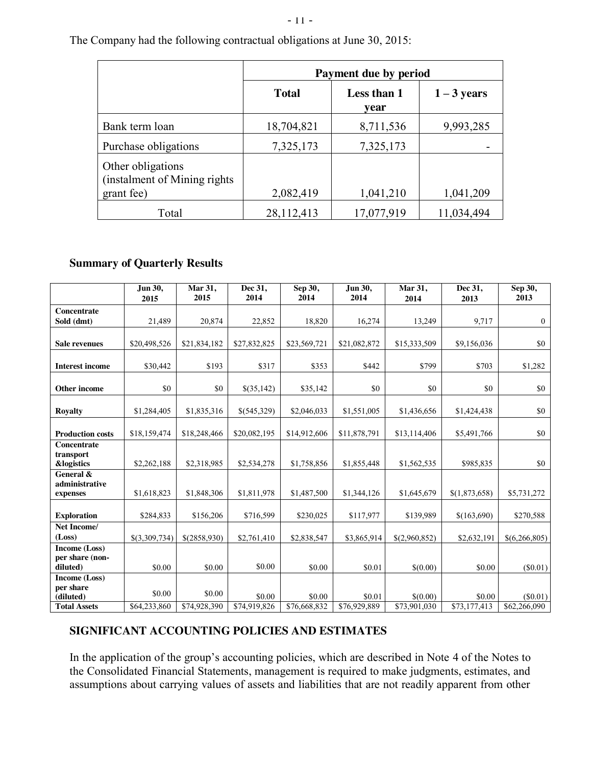#### - 11 -

The Company had the following contractual obligations at June 30, 2015:

|                                                                  | Payment due by period |                     |               |  |  |  |
|------------------------------------------------------------------|-----------------------|---------------------|---------------|--|--|--|
|                                                                  | <b>Total</b>          | Less than 1<br>vear | $1 - 3$ years |  |  |  |
| Bank term loan                                                   | 18,704,821            | 8,711,536           | 9,993,285     |  |  |  |
| Purchase obligations                                             | 7,325,173             | 7,325,173           |               |  |  |  |
| Other obligations<br>(instalment of Mining rights)<br>grant fee) | 2,082,419             | 1,041,210           | 1,041,209     |  |  |  |
| Total                                                            | 28,112,413            | 17,077,919          | 11,034,494    |  |  |  |

## **Summary of Quarterly Results**

|                                    | Jun 30,<br>2015 | Mar 31,<br>2015 | Dec 31,<br>2014 | Sep 30,<br>2014 | Jun 30,<br>2014 | Mar 31,<br>2014 | Dec 31,<br>2013 | Sep 30,<br>2013 |
|------------------------------------|-----------------|-----------------|-----------------|-----------------|-----------------|-----------------|-----------------|-----------------|
| Concentrate                        |                 |                 |                 |                 |                 |                 |                 |                 |
| Sold (dmt)                         | 21,489          | 20,874          | 22,852          | 18,820          | 16,274          | 13,249          | 9,717           | $\overline{0}$  |
|                                    |                 |                 |                 |                 |                 |                 |                 |                 |
| <b>Sale revenues</b>               | \$20,498,526    | \$21,834,182    | \$27,832,825    | \$23,569,721    | \$21,082,872    | \$15,333,509    | \$9,156,036     | \$0             |
| <b>Interest income</b>             | \$30,442        | \$193           | \$317           | \$353           | \$442           | \$799           | \$703           | \$1,282         |
| Other income                       | \$0             | \$0             | \$(35,142)      | \$35,142        | \$0             | \$0             | \$0             | \$0             |
| <b>Royalty</b>                     | \$1,284,405     | \$1,835,316     | \$(545,329)     | \$2,046,033     | \$1,551,005     | \$1,436,656     | \$1,424,438     | \$0             |
| <b>Production costs</b>            | \$18,159,474    | \$18,248,466    | \$20,082,195    | \$14,912,606    | \$11,878,791    | \$13,114,406    | \$5,491,766     | \$0             |
| Concentrate                        |                 |                 |                 |                 |                 |                 |                 |                 |
| transport                          | \$2,262,188     | \$2,318,985     | \$2,534,278     | \$1,758,856     | \$1,855,448     | \$1,562,535     | \$985,835       | \$0             |
| <b>&amp;logistics</b><br>General & |                 |                 |                 |                 |                 |                 |                 |                 |
| administrative<br>expenses         | \$1,618,823     | \$1,848,306     | \$1,811,978     | \$1,487,500     | \$1,344,126     | \$1,645,679     | \$(1,873,658)   | \$5,731,272     |
|                                    |                 |                 |                 |                 |                 |                 |                 |                 |
| <b>Exploration</b>                 | \$284,833       | \$156,206       | \$716,599       | \$230,025       | \$117,977       | \$139,989       | \$(163,690)     | \$270,588       |
| Net Income/                        |                 |                 |                 |                 |                 |                 |                 |                 |
| (Loss)                             | \$(3,309,734)   | \$(2858,930)    | \$2,761,410     | \$2,838,547     | \$3,865,914     | \$(2,960,852)   | \$2,632,191     | \$(6,266,805)   |
| <b>Income</b> (Loss)               |                 |                 |                 |                 |                 |                 |                 |                 |
| per share (non-                    |                 |                 | \$0.00          |                 |                 |                 |                 |                 |
| diluted)<br>Income (Loss)          | \$0.00          | \$0.00          |                 | \$0.00          | \$0.01          | \$(0.00)        | \$0.00          | $(\$0.01)$      |
| per share                          |                 |                 |                 |                 |                 |                 |                 |                 |
| (diluted)                          | \$0.00          | \$0.00          | \$0.00          | \$0.00          | \$0.01          | \$(0.00)        | \$0.00          | $(\$0.01)$      |
| <b>Total Assets</b>                | \$64,233,860    | \$74,928,390    | \$74,919,826    | \$76,668,832    | \$76,929,889    | \$73,901,030    | \$73,177,413    | \$62,266,090    |

## **SIGNIFICANT ACCOUNTING POLICIES AND ESTIMATES**

In the application of the group's accounting policies, which are described in Note 4 of the Notes to the Consolidated Financial Statements, management is required to make judgments, estimates, and assumptions about carrying values of assets and liabilities that are not readily apparent from other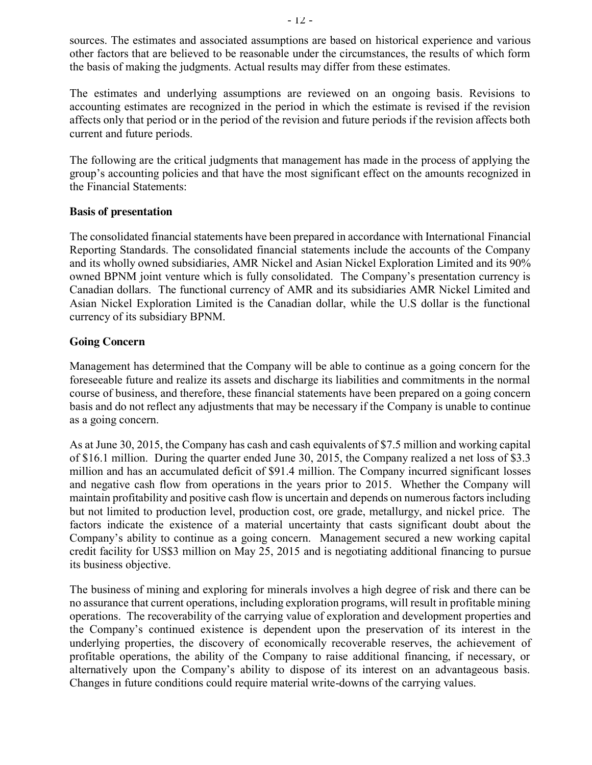sources. The estimates and associated assumptions are based on historical experience and various other factors that are believed to be reasonable under the circumstances, the results of which form the basis of making the judgments. Actual results may differ from these estimates.

The estimates and underlying assumptions are reviewed on an ongoing basis. Revisions to accounting estimates are recognized in the period in which the estimate is revised if the revision affects only that period or in the period of the revision and future periods if the revision affects both current and future periods.

The following are the critical judgments that management has made in the process of applying the group's accounting policies and that have the most significant effect on the amounts recognized in the Financial Statements:

### **Basis of presentation**

The consolidated financial statements have been prepared in accordance with International Financial Reporting Standards. The consolidated financial statements include the accounts of the Company and its wholly owned subsidiaries, AMR Nickel and Asian Nickel Exploration Limited and its 90% owned BPNM joint venture which is fully consolidated. The Company's presentation currency is Canadian dollars. The functional currency of AMR and its subsidiaries AMR Nickel Limited and Asian Nickel Exploration Limited is the Canadian dollar, while the U.S dollar is the functional currency of its subsidiary BPNM.

### **Going Concern**

Management has determined that the Company will be able to continue as a going concern for the foreseeable future and realize its assets and discharge its liabilities and commitments in the normal course of business, and therefore, these financial statements have been prepared on a going concern basis and do not reflect any adjustments that may be necessary if the Company is unable to continue as a going concern.

As at June 30, 2015, the Company has cash and cash equivalents of \$7.5 million and working capital of \$16.1 million. During the quarter ended June 30, 2015, the Company realized a net loss of \$3.3 million and has an accumulated deficit of \$91.4 million. The Company incurred significant losses and negative cash flow from operations in the years prior to 2015. Whether the Company will maintain profitability and positive cash flow is uncertain and depends on numerous factors including but not limited to production level, production cost, ore grade, metallurgy, and nickel price. The factors indicate the existence of a material uncertainty that casts significant doubt about the Company's ability to continue as a going concern. Management secured a new working capital credit facility for US\$3 million on May 25, 2015 and is negotiating additional financing to pursue its business objective.

The business of mining and exploring for minerals involves a high degree of risk and there can be no assurance that current operations, including exploration programs, will result in profitable mining operations. The recoverability of the carrying value of exploration and development properties and the Company's continued existence is dependent upon the preservation of its interest in the underlying properties, the discovery of economically recoverable reserves, the achievement of profitable operations, the ability of the Company to raise additional financing, if necessary, or alternatively upon the Company's ability to dispose of its interest on an advantageous basis. Changes in future conditions could require material write-downs of the carrying values.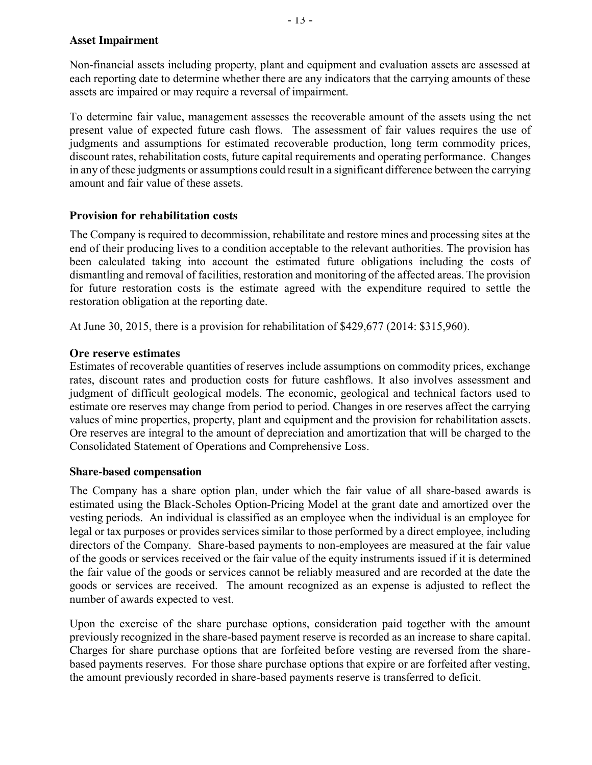### **Asset Impairment**

Non-financial assets including property, plant and equipment and evaluation assets are assessed at each reporting date to determine whether there are any indicators that the carrying amounts of these assets are impaired or may require a reversal of impairment.

To determine fair value, management assesses the recoverable amount of the assets using the net present value of expected future cash flows. The assessment of fair values requires the use of judgments and assumptions for estimated recoverable production, long term commodity prices, discount rates, rehabilitation costs, future capital requirements and operating performance. Changes in any of these judgments or assumptions could result in a significant difference between the carrying amount and fair value of these assets.

### **Provision for rehabilitation costs**

The Company is required to decommission, rehabilitate and restore mines and processing sites at the end of their producing lives to a condition acceptable to the relevant authorities. The provision has been calculated taking into account the estimated future obligations including the costs of dismantling and removal of facilities, restoration and monitoring of the affected areas. The provision for future restoration costs is the estimate agreed with the expenditure required to settle the restoration obligation at the reporting date.

At June 30, 2015, there is a provision for rehabilitation of \$429,677 (2014: \$315,960).

### **Ore reserve estimates**

Estimates of recoverable quantities of reserves include assumptions on commodity prices, exchange rates, discount rates and production costs for future cashflows. It also involves assessment and judgment of difficult geological models. The economic, geological and technical factors used to estimate ore reserves may change from period to period. Changes in ore reserves affect the carrying values of mine properties, property, plant and equipment and the provision for rehabilitation assets. Ore reserves are integral to the amount of depreciation and amortization that will be charged to the Consolidated Statement of Operations and Comprehensive Loss.

#### **Share-based compensation**

The Company has a share option plan, under which the fair value of all share-based awards is estimated using the Black-Scholes Option-Pricing Model at the grant date and amortized over the vesting periods. An individual is classified as an employee when the individual is an employee for legal or tax purposes or provides services similar to those performed by a direct employee, including directors of the Company. Share-based payments to non-employees are measured at the fair value of the goods or services received or the fair value of the equity instruments issued if it is determined the fair value of the goods or services cannot be reliably measured and are recorded at the date the goods or services are received. The amount recognized as an expense is adjusted to reflect the number of awards expected to vest.

Upon the exercise of the share purchase options, consideration paid together with the amount previously recognized in the share-based payment reserve is recorded as an increase to share capital. Charges for share purchase options that are forfeited before vesting are reversed from the sharebased payments reserves. For those share purchase options that expire or are forfeited after vesting, the amount previously recorded in share-based payments reserve is transferred to deficit.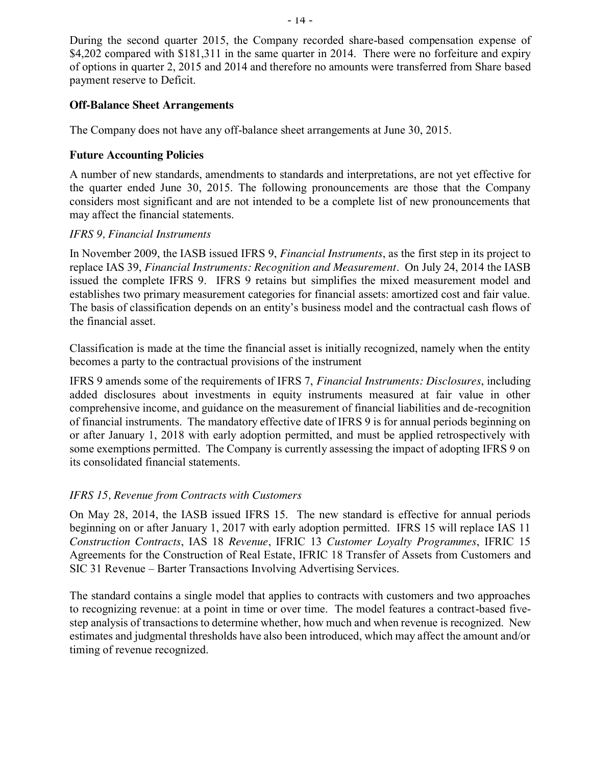During the second quarter 2015, the Company recorded share-based compensation expense of \$4,202 compared with \$181,311 in the same quarter in 2014. There were no forfeiture and expiry of options in quarter 2, 2015 and 2014 and therefore no amounts were transferred from Share based payment reserve to Deficit.

### **Off-Balance Sheet Arrangements**

The Company does not have any off-balance sheet arrangements at June 30, 2015.

## **Future Accounting Policies**

A number of new standards, amendments to standards and interpretations, are not yet effective for the quarter ended June 30, 2015. The following pronouncements are those that the Company considers most significant and are not intended to be a complete list of new pronouncements that may affect the financial statements.

## *IFRS 9, Financial Instruments*

In November 2009, the IASB issued IFRS 9, *Financial Instruments*, as the first step in its project to replace IAS 39, *Financial Instruments: Recognition and Measurement*. On July 24, 2014 the IASB issued the complete IFRS 9. IFRS 9 retains but simplifies the mixed measurement model and establishes two primary measurement categories for financial assets: amortized cost and fair value. The basis of classification depends on an entity's business model and the contractual cash flows of the financial asset.

Classification is made at the time the financial asset is initially recognized, namely when the entity becomes a party to the contractual provisions of the instrument

IFRS 9 amends some of the requirements of IFRS 7, *Financial Instruments: Disclosures*, including added disclosures about investments in equity instruments measured at fair value in other comprehensive income, and guidance on the measurement of financial liabilities and de-recognition of financial instruments. The mandatory effective date of IFRS 9 is for annual periods beginning on or after January 1, 2018 with early adoption permitted, and must be applied retrospectively with some exemptions permitted. The Company is currently assessing the impact of adopting IFRS 9 on its consolidated financial statements.

# *IFRS 15, Revenue from Contracts with Customers*

On May 28, 2014, the IASB issued IFRS 15. The new standard is effective for annual periods beginning on or after January 1, 2017 with early adoption permitted. IFRS 15 will replace IAS 11 *Construction Contracts*, IAS 18 *Revenue*, IFRIC 13 *Customer Loyalty Programmes*, IFRIC 15 Agreements for the Construction of Real Estate, IFRIC 18 Transfer of Assets from Customers and SIC 31 Revenue – Barter Transactions Involving Advertising Services.

The standard contains a single model that applies to contracts with customers and two approaches to recognizing revenue: at a point in time or over time. The model features a contract-based fivestep analysis of transactions to determine whether, how much and when revenue is recognized. New estimates and judgmental thresholds have also been introduced, which may affect the amount and/or timing of revenue recognized.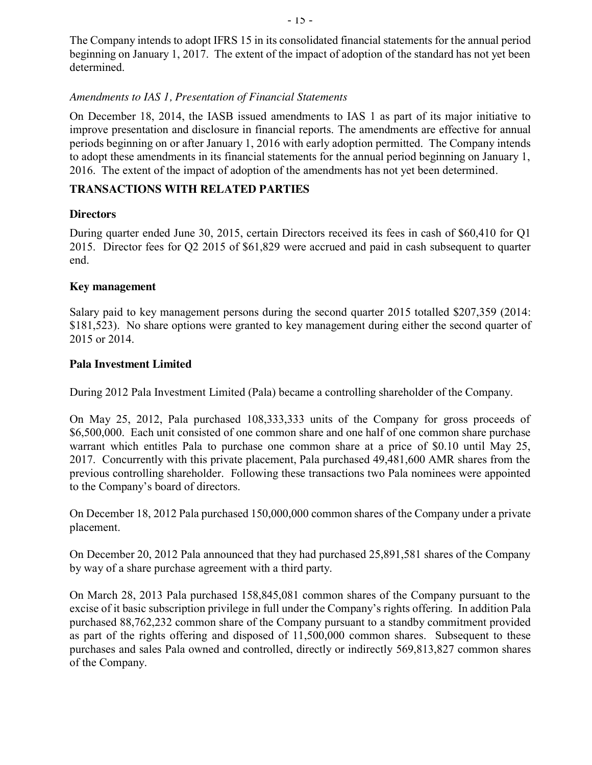The Company intends to adopt IFRS 15 in its consolidated financial statements for the annual period beginning on January 1, 2017. The extent of the impact of adoption of the standard has not yet been determined.

### *Amendments to IAS 1, Presentation of Financial Statements*

On December 18, 2014, the IASB issued amendments to IAS 1 as part of its major initiative to improve presentation and disclosure in financial reports. The amendments are effective for annual periods beginning on or after January 1, 2016 with early adoption permitted. The Company intends to adopt these amendments in its financial statements for the annual period beginning on January 1, 2016. The extent of the impact of adoption of the amendments has not yet been determined.

### **TRANSACTIONS WITH RELATED PARTIES**

### **Directors**

During quarter ended June 30, 2015, certain Directors received its fees in cash of \$60,410 for Q1 2015. Director fees for Q2 2015 of \$61,829 were accrued and paid in cash subsequent to quarter end.

### **Key management**

Salary paid to key management persons during the second quarter 2015 totalled \$207,359 (2014: \$181,523). No share options were granted to key management during either the second quarter of 2015 or 2014.

#### **Pala Investment Limited**

During 2012 Pala Investment Limited (Pala) became a controlling shareholder of the Company.

On May 25, 2012, Pala purchased 108,333,333 units of the Company for gross proceeds of \$6,500,000. Each unit consisted of one common share and one half of one common share purchase warrant which entitles Pala to purchase one common share at a price of \$0.10 until May 25, 2017. Concurrently with this private placement, Pala purchased 49,481,600 AMR shares from the previous controlling shareholder. Following these transactions two Pala nominees were appointed to the Company's board of directors.

On December 18, 2012 Pala purchased 150,000,000 common shares of the Company under a private placement.

On December 20, 2012 Pala announced that they had purchased 25,891,581 shares of the Company by way of a share purchase agreement with a third party.

On March 28, 2013 Pala purchased 158,845,081 common shares of the Company pursuant to the excise of it basic subscription privilege in full under the Company's rights offering. In addition Pala purchased 88,762,232 common share of the Company pursuant to a standby commitment provided as part of the rights offering and disposed of 11,500,000 common shares. Subsequent to these purchases and sales Pala owned and controlled, directly or indirectly 569,813,827 common shares of the Company.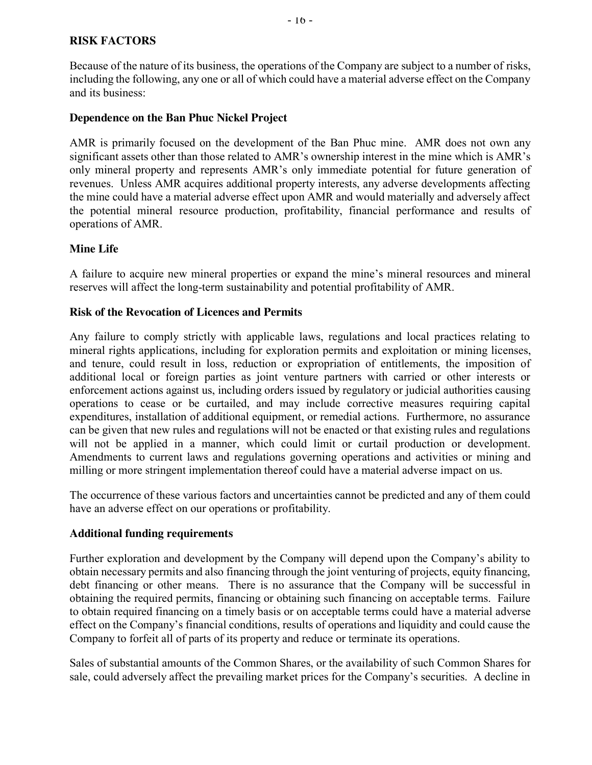### **RISK FACTORS**

Because of the nature of its business, the operations of the Company are subject to a number of risks, including the following, any one or all of which could have a material adverse effect on the Company and its business:

#### **Dependence on the Ban Phuc Nickel Project**

AMR is primarily focused on the development of the Ban Phuc mine. AMR does not own any significant assets other than those related to AMR's ownership interest in the mine which is AMR's only mineral property and represents AMR's only immediate potential for future generation of revenues. Unless AMR acquires additional property interests, any adverse developments affecting the mine could have a material adverse effect upon AMR and would materially and adversely affect the potential mineral resource production, profitability, financial performance and results of operations of AMR.

#### **Mine Life**

A failure to acquire new mineral properties or expand the mine's mineral resources and mineral reserves will affect the long-term sustainability and potential profitability of AMR.

#### **Risk of the Revocation of Licences and Permits**

Any failure to comply strictly with applicable laws, regulations and local practices relating to mineral rights applications, including for exploration permits and exploitation or mining licenses, and tenure, could result in loss, reduction or expropriation of entitlements, the imposition of additional local or foreign parties as joint venture partners with carried or other interests or enforcement actions against us, including orders issued by regulatory or judicial authorities causing operations to cease or be curtailed, and may include corrective measures requiring capital expenditures, installation of additional equipment, or remedial actions. Furthermore, no assurance can be given that new rules and regulations will not be enacted or that existing rules and regulations will not be applied in a manner, which could limit or curtail production or development. Amendments to current laws and regulations governing operations and activities or mining and milling or more stringent implementation thereof could have a material adverse impact on us.

The occurrence of these various factors and uncertainties cannot be predicted and any of them could have an adverse effect on our operations or profitability.

#### **Additional funding requirements**

Further exploration and development by the Company will depend upon the Company's ability to obtain necessary permits and also financing through the joint venturing of projects, equity financing, debt financing or other means. There is no assurance that the Company will be successful in obtaining the required permits, financing or obtaining such financing on acceptable terms. Failure to obtain required financing on a timely basis or on acceptable terms could have a material adverse effect on the Company's financial conditions, results of operations and liquidity and could cause the Company to forfeit all of parts of its property and reduce or terminate its operations.

Sales of substantial amounts of the Common Shares, or the availability of such Common Shares for sale, could adversely affect the prevailing market prices for the Company's securities. A decline in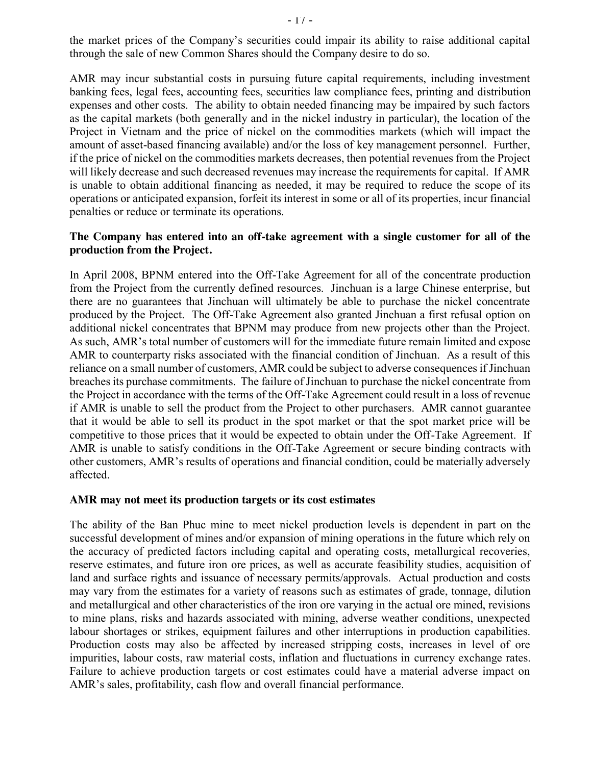the market prices of the Company's securities could impair its ability to raise additional capital through the sale of new Common Shares should the Company desire to do so.

AMR may incur substantial costs in pursuing future capital requirements, including investment banking fees, legal fees, accounting fees, securities law compliance fees, printing and distribution expenses and other costs. The ability to obtain needed financing may be impaired by such factors as the capital markets (both generally and in the nickel industry in particular), the location of the Project in Vietnam and the price of nickel on the commodities markets (which will impact the amount of asset-based financing available) and/or the loss of key management personnel. Further, if the price of nickel on the commodities markets decreases, then potential revenues from the Project will likely decrease and such decreased revenues may increase the requirements for capital. If AMR is unable to obtain additional financing as needed, it may be required to reduce the scope of its operations or anticipated expansion, forfeit its interest in some or all of its properties, incur financial penalties or reduce or terminate its operations.

#### **The Company has entered into an off-take agreement with a single customer for all of the production from the Project.**

In April 2008, BPNM entered into the Off-Take Agreement for all of the concentrate production from the Project from the currently defined resources. Jinchuan is a large Chinese enterprise, but there are no guarantees that Jinchuan will ultimately be able to purchase the nickel concentrate produced by the Project. The Off-Take Agreement also granted Jinchuan a first refusal option on additional nickel concentrates that BPNM may produce from new projects other than the Project. As such, AMR's total number of customers will for the immediate future remain limited and expose AMR to counterparty risks associated with the financial condition of Jinchuan. As a result of this reliance on a small number of customers, AMR could be subject to adverse consequences if Jinchuan breaches its purchase commitments. The failure of Jinchuan to purchase the nickel concentrate from the Project in accordance with the terms of the Off-Take Agreement could result in a loss of revenue if AMR is unable to sell the product from the Project to other purchasers. AMR cannot guarantee that it would be able to sell its product in the spot market or that the spot market price will be competitive to those prices that it would be expected to obtain under the Off-Take Agreement. If AMR is unable to satisfy conditions in the Off-Take Agreement or secure binding contracts with other customers, AMR's results of operations and financial condition, could be materially adversely affected.

#### **AMR may not meet its production targets or its cost estimates**

The ability of the Ban Phuc mine to meet nickel production levels is dependent in part on the successful development of mines and/or expansion of mining operations in the future which rely on the accuracy of predicted factors including capital and operating costs, metallurgical recoveries, reserve estimates, and future iron ore prices, as well as accurate feasibility studies, acquisition of land and surface rights and issuance of necessary permits/approvals. Actual production and costs may vary from the estimates for a variety of reasons such as estimates of grade, tonnage, dilution and metallurgical and other characteristics of the iron ore varying in the actual ore mined, revisions to mine plans, risks and hazards associated with mining, adverse weather conditions, unexpected labour shortages or strikes, equipment failures and other interruptions in production capabilities. Production costs may also be affected by increased stripping costs, increases in level of ore impurities, labour costs, raw material costs, inflation and fluctuations in currency exchange rates. Failure to achieve production targets or cost estimates could have a material adverse impact on AMR's sales, profitability, cash flow and overall financial performance.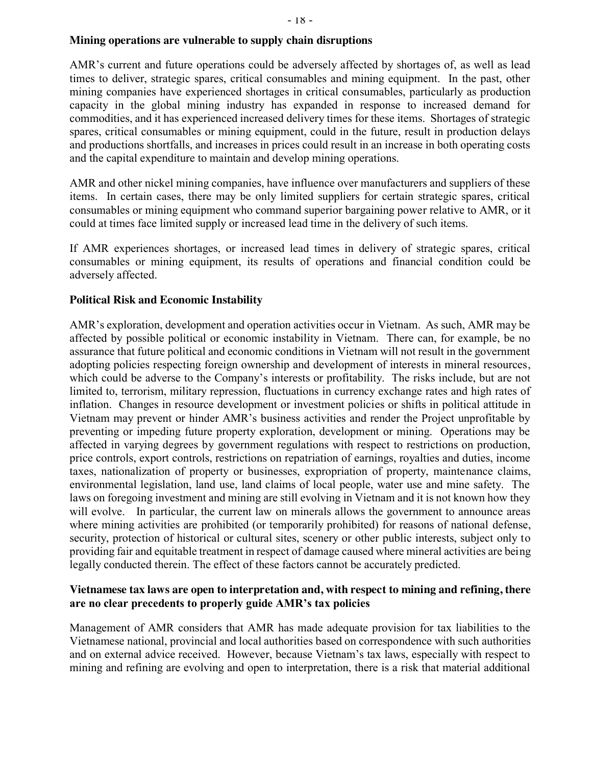#### **Mining operations are vulnerable to supply chain disruptions**

AMR's current and future operations could be adversely affected by shortages of, as well as lead times to deliver, strategic spares, critical consumables and mining equipment. In the past, other mining companies have experienced shortages in critical consumables, particularly as production capacity in the global mining industry has expanded in response to increased demand for commodities, and it has experienced increased delivery times for these items. Shortages of strategic spares, critical consumables or mining equipment, could in the future, result in production delays and productions shortfalls, and increases in prices could result in an increase in both operating costs and the capital expenditure to maintain and develop mining operations.

AMR and other nickel mining companies, have influence over manufacturers and suppliers of these items. In certain cases, there may be only limited suppliers for certain strategic spares, critical consumables or mining equipment who command superior bargaining power relative to AMR, or it could at times face limited supply or increased lead time in the delivery of such items.

If AMR experiences shortages, or increased lead times in delivery of strategic spares, critical consumables or mining equipment, its results of operations and financial condition could be adversely affected.

#### **Political Risk and Economic Instability**

AMR's exploration, development and operation activities occur in Vietnam. As such, AMR may be affected by possible political or economic instability in Vietnam. There can, for example, be no assurance that future political and economic conditions in Vietnam will not result in the government adopting policies respecting foreign ownership and development of interests in mineral resources, which could be adverse to the Company's interests or profitability. The risks include, but are not limited to, terrorism, military repression, fluctuations in currency exchange rates and high rates of inflation. Changes in resource development or investment policies or shifts in political attitude in Vietnam may prevent or hinder AMR's business activities and render the Project unprofitable by preventing or impeding future property exploration, development or mining. Operations may be affected in varying degrees by government regulations with respect to restrictions on production, price controls, export controls, restrictions on repatriation of earnings, royalties and duties, income taxes, nationalization of property or businesses, expropriation of property, maintenance claims, environmental legislation, land use, land claims of local people, water use and mine safety. The laws on foregoing investment and mining are still evolving in Vietnam and it is not known how they will evolve. In particular, the current law on minerals allows the government to announce areas where mining activities are prohibited (or temporarily prohibited) for reasons of national defense, security, protection of historical or cultural sites, scenery or other public interests, subject only to providing fair and equitable treatment in respect of damage caused where mineral activities are being legally conducted therein. The effect of these factors cannot be accurately predicted.

### **Vietnamese tax laws are open to interpretation and, with respect to mining and refining, there are no clear precedents to properly guide AMR's tax policies**

Management of AMR considers that AMR has made adequate provision for tax liabilities to the Vietnamese national, provincial and local authorities based on correspondence with such authorities and on external advice received. However, because Vietnam's tax laws, especially with respect to mining and refining are evolving and open to interpretation, there is a risk that material additional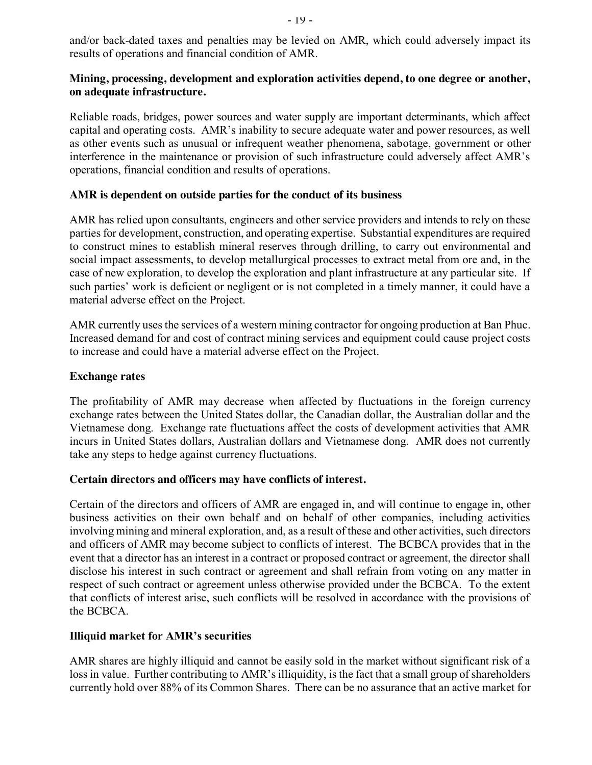### **Mining, processing, development and exploration activities depend, to one degree or another, on adequate infrastructure.**

Reliable roads, bridges, power sources and water supply are important determinants, which affect capital and operating costs. AMR's inability to secure adequate water and power resources, as well as other events such as unusual or infrequent weather phenomena, sabotage, government or other interference in the maintenance or provision of such infrastructure could adversely affect AMR's operations, financial condition and results of operations.

## **AMR is dependent on outside parties for the conduct of its business**

AMR has relied upon consultants, engineers and other service providers and intends to rely on these parties for development, construction, and operating expertise. Substantial expenditures are required to construct mines to establish mineral reserves through drilling, to carry out environmental and social impact assessments, to develop metallurgical processes to extract metal from ore and, in the case of new exploration, to develop the exploration and plant infrastructure at any particular site. If such parties' work is deficient or negligent or is not completed in a timely manner, it could have a material adverse effect on the Project.

AMR currently uses the services of a western mining contractor for ongoing production at Ban Phuc. Increased demand for and cost of contract mining services and equipment could cause project costs to increase and could have a material adverse effect on the Project.

### **Exchange rates**

The profitability of AMR may decrease when affected by fluctuations in the foreign currency exchange rates between the United States dollar, the Canadian dollar, the Australian dollar and the Vietnamese dong. Exchange rate fluctuations affect the costs of development activities that AMR incurs in United States dollars, Australian dollars and Vietnamese dong. AMR does not currently take any steps to hedge against currency fluctuations.

## **Certain directors and officers may have conflicts of interest.**

Certain of the directors and officers of AMR are engaged in, and will continue to engage in, other business activities on their own behalf and on behalf of other companies, including activities involving mining and mineral exploration, and, as a result of these and other activities, such directors and officers of AMR may become subject to conflicts of interest. The BCBCA provides that in the event that a director has an interest in a contract or proposed contract or agreement, the director shall disclose his interest in such contract or agreement and shall refrain from voting on any matter in respect of such contract or agreement unless otherwise provided under the BCBCA. To the extent that conflicts of interest arise, such conflicts will be resolved in accordance with the provisions of the BCBCA.

## **Illiquid market for AMR's securities**

AMR shares are highly illiquid and cannot be easily sold in the market without significant risk of a loss in value. Further contributing to AMR's illiquidity, is the fact that a small group of shareholders currently hold over 88% of its Common Shares. There can be no assurance that an active market for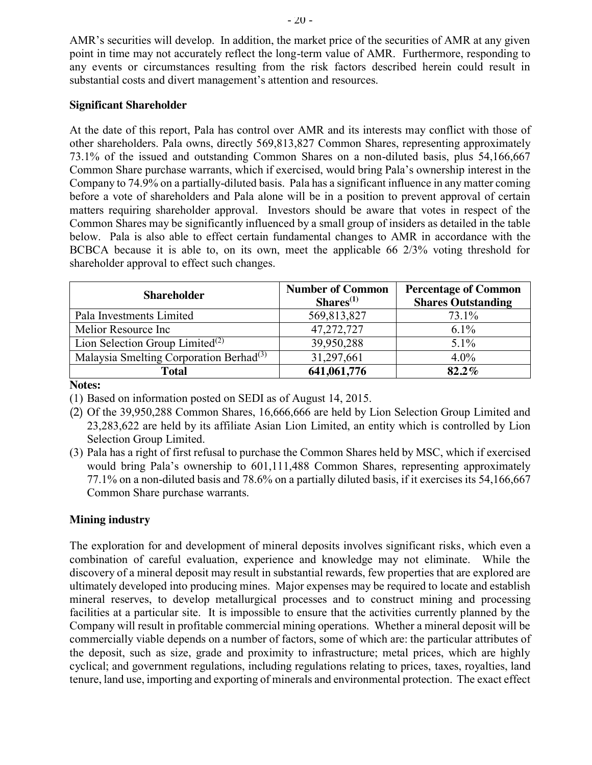AMR's securities will develop. In addition, the market price of the securities of AMR at any given point in time may not accurately reflect the long-term value of AMR. Furthermore, responding to any events or circumstances resulting from the risk factors described herein could result in substantial costs and divert management's attention and resources.

#### **Significant Shareholder**

At the date of this report, Pala has control over AMR and its interests may conflict with those of other shareholders. Pala owns, directly 569,813,827 Common Shares, representing approximately 73.1% of the issued and outstanding Common Shares on a non-diluted basis, plus 54,166,667 Common Share purchase warrants, which if exercised, would bring Pala's ownership interest in the Company to 74.9% on a partially-diluted basis. Pala has a significant influence in any matter coming before a vote of shareholders and Pala alone will be in a position to prevent approval of certain matters requiring shareholder approval. Investors should be aware that votes in respect of the Common Shares may be significantly influenced by a small group of insiders as detailed in the table below. Pala is also able to effect certain fundamental changes to AMR in accordance with the BCBCA because it is able to, on its own, meet the applicable 66 2/3% voting threshold for shareholder approval to effect such changes.

| <b>Shareholder</b>                                  | <b>Number of Common</b><br>$Shares^{(1)}$ | <b>Percentage of Common</b><br><b>Shares Outstanding</b> |  |  |
|-----------------------------------------------------|-------------------------------------------|----------------------------------------------------------|--|--|
| Pala Investments Limited                            | 569,813,827                               | 73.1%                                                    |  |  |
| Melior Resource Inc                                 | 47,272,727                                | $6.1\%$                                                  |  |  |
| Lion Selection Group Limited <sup>(2)</sup>         | 39,950,288                                | $5.1\%$                                                  |  |  |
| Malaysia Smelting Corporation Berhad <sup>(3)</sup> | 31,297,661                                | $4.0\%$                                                  |  |  |
| <b>Total</b>                                        | 641,061,776                               | 82.2%                                                    |  |  |

**Notes:**

(1) Based on information posted on SEDI as of August 14, 2015.

- (2) Of the 39,950,288 Common Shares, 16,666,666 are held by Lion Selection Group Limited and 23,283,622 are held by its affiliate Asian Lion Limited, an entity which is controlled by Lion Selection Group Limited.
- (3) Pala has a right of first refusal to purchase the Common Shares held by MSC, which if exercised would bring Pala's ownership to 601,111,488 Common Shares, representing approximately 77.1% on a non-diluted basis and 78.6% on a partially diluted basis, if it exercises its 54,166,667 Common Share purchase warrants.

## **Mining industry**

The exploration for and development of mineral deposits involves significant risks, which even a combination of careful evaluation, experience and knowledge may not eliminate. While the discovery of a mineral deposit may result in substantial rewards, few properties that are explored are ultimately developed into producing mines. Major expenses may be required to locate and establish mineral reserves, to develop metallurgical processes and to construct mining and processing facilities at a particular site. It is impossible to ensure that the activities currently planned by the Company will result in profitable commercial mining operations. Whether a mineral deposit will be commercially viable depends on a number of factors, some of which are: the particular attributes of the deposit, such as size, grade and proximity to infrastructure; metal prices, which are highly cyclical; and government regulations, including regulations relating to prices, taxes, royalties, land tenure, land use, importing and exporting of minerals and environmental protection. The exact effect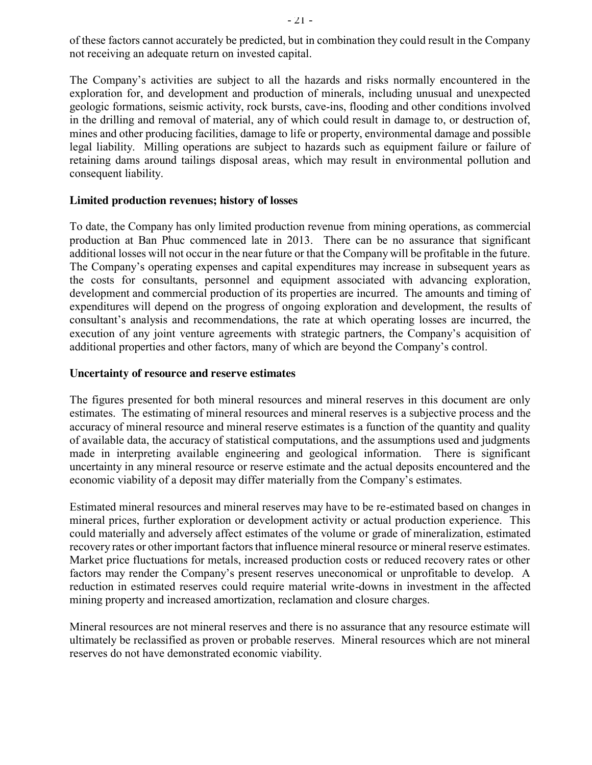of these factors cannot accurately be predicted, but in combination they could result in the Company not receiving an adequate return on invested capital.

The Company's activities are subject to all the hazards and risks normally encountered in the exploration for, and development and production of minerals, including unusual and unexpected geologic formations, seismic activity, rock bursts, cave-ins, flooding and other conditions involved in the drilling and removal of material, any of which could result in damage to, or destruction of, mines and other producing facilities, damage to life or property, environmental damage and possible legal liability. Milling operations are subject to hazards such as equipment failure or failure of retaining dams around tailings disposal areas, which may result in environmental pollution and consequent liability.

#### **Limited production revenues; history of losses**

To date, the Company has only limited production revenue from mining operations, as commercial production at Ban Phuc commenced late in 2013. There can be no assurance that significant additional losses will not occur in the near future or that the Company will be profitable in the future. The Company's operating expenses and capital expenditures may increase in subsequent years as the costs for consultants, personnel and equipment associated with advancing exploration, development and commercial production of its properties are incurred. The amounts and timing of expenditures will depend on the progress of ongoing exploration and development, the results of consultant's analysis and recommendations, the rate at which operating losses are incurred, the execution of any joint venture agreements with strategic partners, the Company's acquisition of additional properties and other factors, many of which are beyond the Company's control.

#### **Uncertainty of resource and reserve estimates**

The figures presented for both mineral resources and mineral reserves in this document are only estimates. The estimating of mineral resources and mineral reserves is a subjective process and the accuracy of mineral resource and mineral reserve estimates is a function of the quantity and quality of available data, the accuracy of statistical computations, and the assumptions used and judgments made in interpreting available engineering and geological information. There is significant uncertainty in any mineral resource or reserve estimate and the actual deposits encountered and the economic viability of a deposit may differ materially from the Company's estimates.

Estimated mineral resources and mineral reserves may have to be re-estimated based on changes in mineral prices, further exploration or development activity or actual production experience. This could materially and adversely affect estimates of the volume or grade of mineralization, estimated recovery rates or other important factors that influence mineral resource or mineral reserve estimates. Market price fluctuations for metals, increased production costs or reduced recovery rates or other factors may render the Company's present reserves uneconomical or unprofitable to develop. A reduction in estimated reserves could require material write-downs in investment in the affected mining property and increased amortization, reclamation and closure charges.

Mineral resources are not mineral reserves and there is no assurance that any resource estimate will ultimately be reclassified as proven or probable reserves. Mineral resources which are not mineral reserves do not have demonstrated economic viability.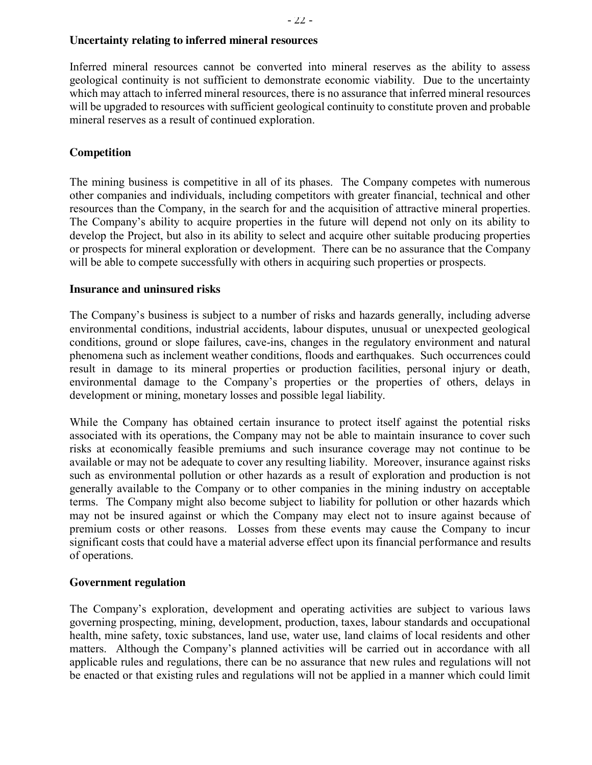#### **Uncertainty relating to inferred mineral resources**

Inferred mineral resources cannot be converted into mineral reserves as the ability to assess geological continuity is not sufficient to demonstrate economic viability. Due to the uncertainty which may attach to inferred mineral resources, there is no assurance that inferred mineral resources will be upgraded to resources with sufficient geological continuity to constitute proven and probable mineral reserves as a result of continued exploration.

### **Competition**

The mining business is competitive in all of its phases. The Company competes with numerous other companies and individuals, including competitors with greater financial, technical and other resources than the Company, in the search for and the acquisition of attractive mineral properties. The Company's ability to acquire properties in the future will depend not only on its ability to develop the Project, but also in its ability to select and acquire other suitable producing properties or prospects for mineral exploration or development. There can be no assurance that the Company will be able to compete successfully with others in acquiring such properties or prospects.

#### **Insurance and uninsured risks**

The Company's business is subject to a number of risks and hazards generally, including adverse environmental conditions, industrial accidents, labour disputes, unusual or unexpected geological conditions, ground or slope failures, cave-ins, changes in the regulatory environment and natural phenomena such as inclement weather conditions, floods and earthquakes. Such occurrences could result in damage to its mineral properties or production facilities, personal injury or death, environmental damage to the Company's properties or the properties of others, delays in development or mining, monetary losses and possible legal liability.

While the Company has obtained certain insurance to protect itself against the potential risks associated with its operations, the Company may not be able to maintain insurance to cover such risks at economically feasible premiums and such insurance coverage may not continue to be available or may not be adequate to cover any resulting liability. Moreover, insurance against risks such as environmental pollution or other hazards as a result of exploration and production is not generally available to the Company or to other companies in the mining industry on acceptable terms. The Company might also become subject to liability for pollution or other hazards which may not be insured against or which the Company may elect not to insure against because of premium costs or other reasons. Losses from these events may cause the Company to incur significant costs that could have a material adverse effect upon its financial performance and results of operations.

#### **Government regulation**

The Company's exploration, development and operating activities are subject to various laws governing prospecting, mining, development, production, taxes, labour standards and occupational health, mine safety, toxic substances, land use, water use, land claims of local residents and other matters. Although the Company's planned activities will be carried out in accordance with all applicable rules and regulations, there can be no assurance that new rules and regulations will not be enacted or that existing rules and regulations will not be applied in a manner which could limit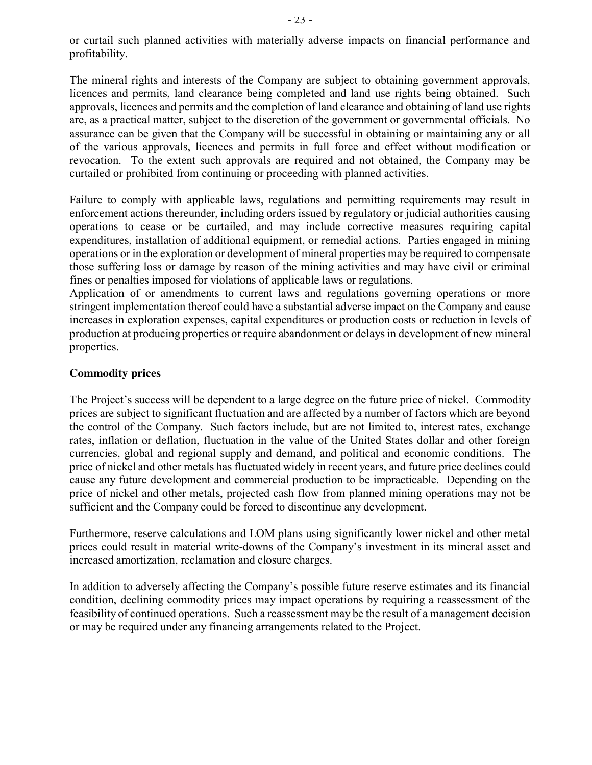or curtail such planned activities with materially adverse impacts on financial performance and profitability.

The mineral rights and interests of the Company are subject to obtaining government approvals, licences and permits, land clearance being completed and land use rights being obtained. Such approvals, licences and permits and the completion of land clearance and obtaining of land use rights are, as a practical matter, subject to the discretion of the government or governmental officials. No assurance can be given that the Company will be successful in obtaining or maintaining any or all of the various approvals, licences and permits in full force and effect without modification or revocation. To the extent such approvals are required and not obtained, the Company may be curtailed or prohibited from continuing or proceeding with planned activities.

Failure to comply with applicable laws, regulations and permitting requirements may result in enforcement actions thereunder, including orders issued by regulatory or judicial authorities causing operations to cease or be curtailed, and may include corrective measures requiring capital expenditures, installation of additional equipment, or remedial actions. Parties engaged in mining operations or in the exploration or development of mineral properties may be required to compensate those suffering loss or damage by reason of the mining activities and may have civil or criminal fines or penalties imposed for violations of applicable laws or regulations.

Application of or amendments to current laws and regulations governing operations or more stringent implementation thereof could have a substantial adverse impact on the Company and cause increases in exploration expenses, capital expenditures or production costs or reduction in levels of production at producing properties or require abandonment or delays in development of new mineral properties.

### **Commodity prices**

The Project's success will be dependent to a large degree on the future price of nickel. Commodity prices are subject to significant fluctuation and are affected by a number of factors which are beyond the control of the Company. Such factors include, but are not limited to, interest rates, exchange rates, inflation or deflation, fluctuation in the value of the United States dollar and other foreign currencies, global and regional supply and demand, and political and economic conditions. The price of nickel and other metals has fluctuated widely in recent years, and future price declines could cause any future development and commercial production to be impracticable. Depending on the price of nickel and other metals, projected cash flow from planned mining operations may not be sufficient and the Company could be forced to discontinue any development.

Furthermore, reserve calculations and LOM plans using significantly lower nickel and other metal prices could result in material write-downs of the Company's investment in its mineral asset and increased amortization, reclamation and closure charges.

In addition to adversely affecting the Company's possible future reserve estimates and its financial condition, declining commodity prices may impact operations by requiring a reassessment of the feasibility of continued operations. Such a reassessment may be the result of a management decision or may be required under any financing arrangements related to the Project.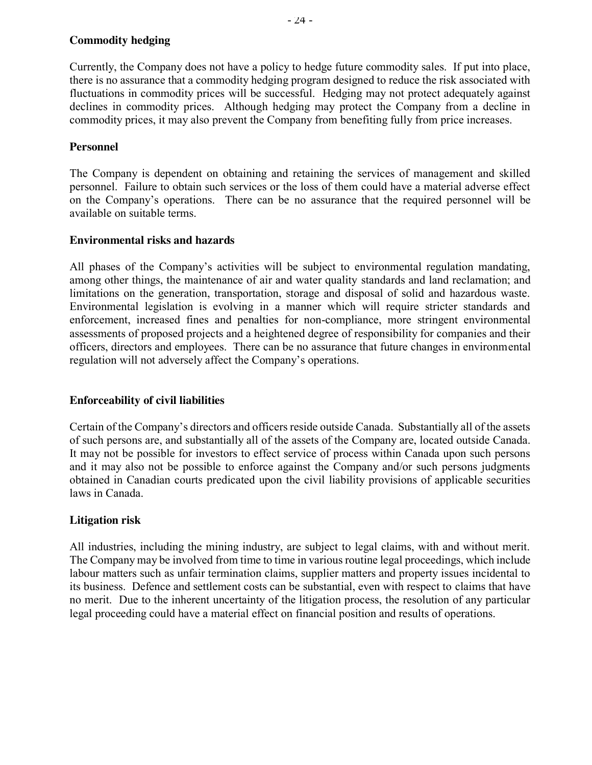## **Commodity hedging**

Currently, the Company does not have a policy to hedge future commodity sales. If put into place, there is no assurance that a commodity hedging program designed to reduce the risk associated with fluctuations in commodity prices will be successful. Hedging may not protect adequately against declines in commodity prices. Although hedging may protect the Company from a decline in commodity prices, it may also prevent the Company from benefiting fully from price increases.

## **Personnel**

The Company is dependent on obtaining and retaining the services of management and skilled personnel. Failure to obtain such services or the loss of them could have a material adverse effect on the Company's operations. There can be no assurance that the required personnel will be available on suitable terms.

# **Environmental risks and hazards**

All phases of the Company's activities will be subject to environmental regulation mandating, among other things, the maintenance of air and water quality standards and land reclamation; and limitations on the generation, transportation, storage and disposal of solid and hazardous waste. Environmental legislation is evolving in a manner which will require stricter standards and enforcement, increased fines and penalties for non-compliance, more stringent environmental assessments of proposed projects and a heightened degree of responsibility for companies and their officers, directors and employees. There can be no assurance that future changes in environmental regulation will not adversely affect the Company's operations.

# **Enforceability of civil liabilities**

Certain of the Company's directors and officers reside outside Canada. Substantially all of the assets of such persons are, and substantially all of the assets of the Company are, located outside Canada. It may not be possible for investors to effect service of process within Canada upon such persons and it may also not be possible to enforce against the Company and/or such persons judgments obtained in Canadian courts predicated upon the civil liability provisions of applicable securities laws in Canada.

## **Litigation risk**

All industries, including the mining industry, are subject to legal claims, with and without merit. The Company may be involved from time to time in various routine legal proceedings, which include labour matters such as unfair termination claims, supplier matters and property issues incidental to its business. Defence and settlement costs can be substantial, even with respect to claims that have no merit. Due to the inherent uncertainty of the litigation process, the resolution of any particular legal proceeding could have a material effect on financial position and results of operations.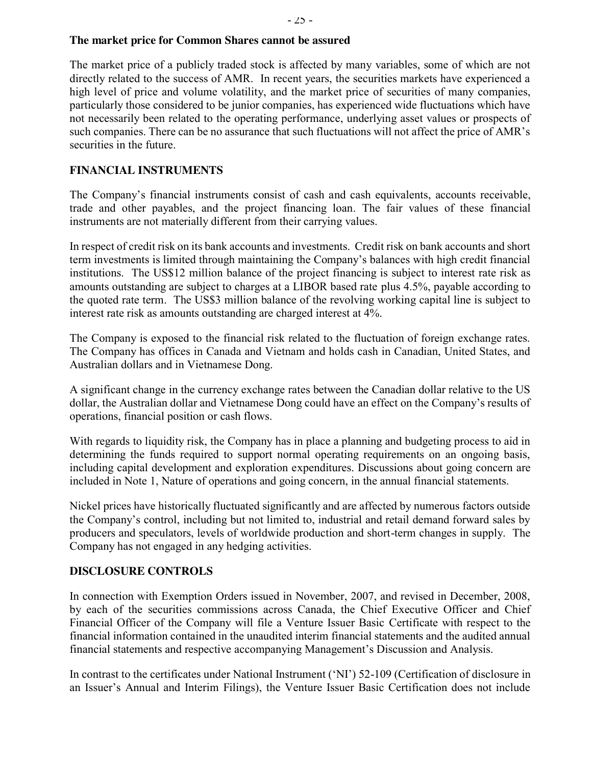#### **The market price for Common Shares cannot be assured**

The market price of a publicly traded stock is affected by many variables, some of which are not directly related to the success of AMR. In recent years, the securities markets have experienced a high level of price and volume volatility, and the market price of securities of many companies, particularly those considered to be junior companies, has experienced wide fluctuations which have not necessarily been related to the operating performance, underlying asset values or prospects of such companies. There can be no assurance that such fluctuations will not affect the price of AMR's securities in the future.

## **FINANCIAL INSTRUMENTS**

The Company's financial instruments consist of cash and cash equivalents, accounts receivable, trade and other payables, and the project financing loan. The fair values of these financial instruments are not materially different from their carrying values.

In respect of credit risk on its bank accounts and investments. Credit risk on bank accounts and short term investments is limited through maintaining the Company's balances with high credit financial institutions. The US\$12 million balance of the project financing is subject to interest rate risk as amounts outstanding are subject to charges at a LIBOR based rate plus 4.5%, payable according to the quoted rate term. The US\$3 million balance of the revolving working capital line is subject to interest rate risk as amounts outstanding are charged interest at 4%.

The Company is exposed to the financial risk related to the fluctuation of foreign exchange rates. The Company has offices in Canada and Vietnam and holds cash in Canadian, United States, and Australian dollars and in Vietnamese Dong.

A significant change in the currency exchange rates between the Canadian dollar relative to the US dollar, the Australian dollar and Vietnamese Dong could have an effect on the Company's results of operations, financial position or cash flows.

With regards to liquidity risk, the Company has in place a planning and budgeting process to aid in determining the funds required to support normal operating requirements on an ongoing basis, including capital development and exploration expenditures. Discussions about going concern are included in Note 1, Nature of operations and going concern, in the annual financial statements.

Nickel prices have historically fluctuated significantly and are affected by numerous factors outside the Company's control, including but not limited to, industrial and retail demand forward sales by producers and speculators, levels of worldwide production and short-term changes in supply. The Company has not engaged in any hedging activities.

## **DISCLOSURE CONTROLS**

In connection with Exemption Orders issued in November, 2007, and revised in December, 2008, by each of the securities commissions across Canada, the Chief Executive Officer and Chief Financial Officer of the Company will file a Venture Issuer Basic Certificate with respect to the financial information contained in the unaudited interim financial statements and the audited annual financial statements and respective accompanying Management's Discussion and Analysis.

In contrast to the certificates under National Instrument ('NI') 52-109 (Certification of disclosure in an Issuer's Annual and Interim Filings), the Venture Issuer Basic Certification does not include